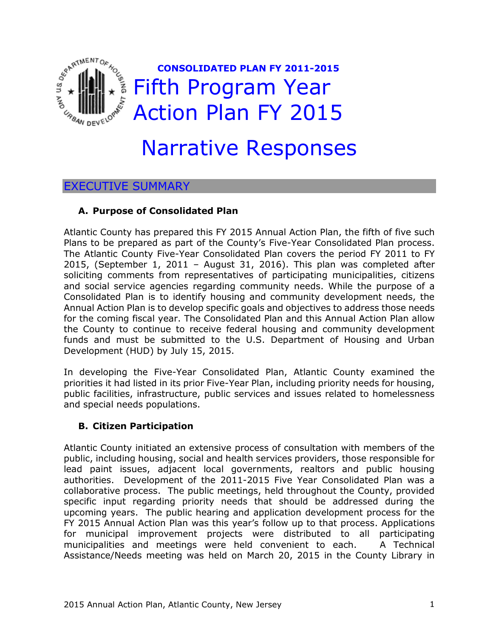

# Narrative Responses

# EXECUTIVE SUMMARY

# **A. Purpose of Consolidated Plan**

Atlantic County has prepared this FY 2015 Annual Action Plan, the fifth of five such Plans to be prepared as part of the County's Five-Year Consolidated Plan process. The Atlantic County Five-Year Consolidated Plan covers the period FY 2011 to FY 2015, (September 1, 2011 – August 31, 2016). This plan was completed after soliciting comments from representatives of participating municipalities, citizens and social service agencies regarding community needs. While the purpose of a Consolidated Plan is to identify housing and community development needs, the Annual Action Plan is to develop specific goals and objectives to address those needs for the coming fiscal year. The Consolidated Plan and this Annual Action Plan allow the County to continue to receive federal housing and community development funds and must be submitted to the U.S. Department of Housing and Urban Development (HUD) by July 15, 2015.

In developing the Five-Year Consolidated Plan, Atlantic County examined the priorities it had listed in its prior Five-Year Plan, including priority needs for housing, public facilities, infrastructure, public services and issues related to homelessness and special needs populations.

# **B. Citizen Participation**

Atlantic County initiated an extensive process of consultation with members of the public, including housing, social and health services providers, those responsible for lead paint issues, adjacent local governments, realtors and public housing authorities. Development of the 2011-2015 Five Year Consolidated Plan was a collaborative process. The public meetings, held throughout the County, provided specific input regarding priority needs that should be addressed during the upcoming years. The public hearing and application development process for the FY 2015 Annual Action Plan was this year's follow up to that process. Applications for municipal improvement projects were distributed to all participating municipalities and meetings were held convenient to each. A Technical Assistance/Needs meeting was held on March 20, 2015 in the County Library in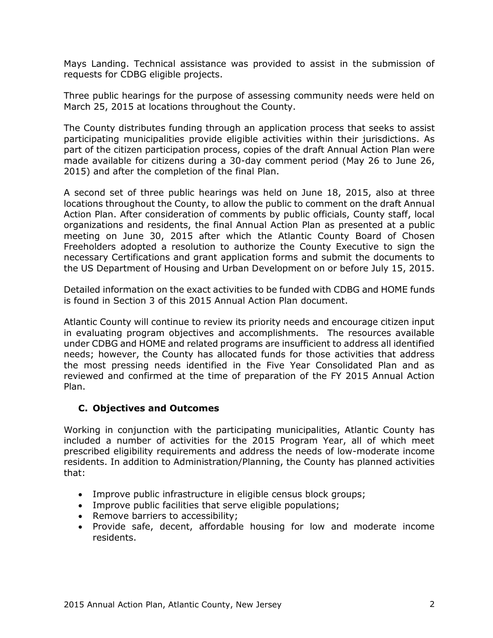Mays Landing. Technical assistance was provided to assist in the submission of requests for CDBG eligible projects.

Three public hearings for the purpose of assessing community needs were held on March 25, 2015 at locations throughout the County.

The County distributes funding through an application process that seeks to assist participating municipalities provide eligible activities within their jurisdictions. As part of the citizen participation process, copies of the draft Annual Action Plan were made available for citizens during a 30-day comment period (May 26 to June 26, 2015) and after the completion of the final Plan.

A second set of three public hearings was held on June 18, 2015, also at three locations throughout the County, to allow the public to comment on the draft Annual Action Plan. After consideration of comments by public officials, County staff, local organizations and residents, the final Annual Action Plan as presented at a public meeting on June 30, 2015 after which the Atlantic County Board of Chosen Freeholders adopted a resolution to authorize the County Executive to sign the necessary Certifications and grant application forms and submit the documents to the US Department of Housing and Urban Development on or before July 15, 2015.

Detailed information on the exact activities to be funded with CDBG and HOME funds is found in Section 3 of this 2015 Annual Action Plan document.

Atlantic County will continue to review its priority needs and encourage citizen input in evaluating program objectives and accomplishments. The resources available under CDBG and HOME and related programs are insufficient to address all identified needs; however, the County has allocated funds for those activities that address the most pressing needs identified in the Five Year Consolidated Plan and as reviewed and confirmed at the time of preparation of the FY 2015 Annual Action Plan.

# **C. Objectives and Outcomes**

Working in conjunction with the participating municipalities, Atlantic County has included a number of activities for the 2015 Program Year, all of which meet prescribed eligibility requirements and address the needs of low-moderate income residents. In addition to Administration/Planning, the County has planned activities that:

- Improve public infrastructure in eligible census block groups;
- Improve public facilities that serve eligible populations;
- Remove barriers to accessibility;
- Provide safe, decent, affordable housing for low and moderate income residents.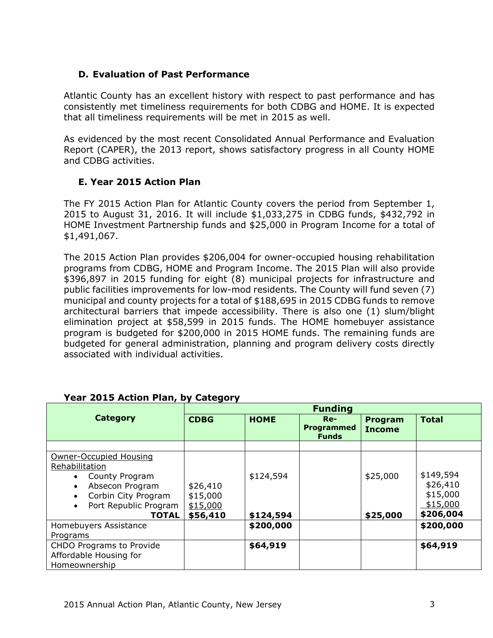# **D. Evaluation of Past Performance**

Atlantic County has an excellent history with respect to past performance and has consistently met timeliness requirements for both CDBG and HOME. It is expected that all timeliness requirements will be met in 2015 as well.

As evidenced by the most recent Consolidated Annual Performance and Evaluation Report (CAPER), the 2013 report, shows satisfactory progress in all County HOME and CDBG activities.

# **E. Year 2015 Action Plan**

The FY 2015 Action Plan for Atlantic County covers the period from September 1, 2015 to August 31, 2016. It will include \$1,033,275 in CDBG funds, \$432,792 in HOME Investment Partnership funds and \$25,000 in Program Income for a total of \$1,491,067.

The 2015 Action Plan provides \$206,004 for owner-occupied housing rehabilitation programs from CDBG, HOME and Program Income. The 2015 Plan will also provide \$396,897 in 2015 funding for eight (8) municipal projects for infrastructure and public facilities improvements for low-mod residents. The County will fund seven (7) municipal and county projects for a total of \$188,695 in 2015 CDBG funds to remove architectural barriers that impede accessibility. There is also one (1) slum/blight elimination project at \$58,599 in 2015 funds. The HOME homebuyer assistance program is budgeted for \$200,000 in 2015 HOME funds. The remaining funds are budgeted for general administration, planning and program delivery costs directly associated with individual activities.

|                                                                                                                                               | <b>Funding</b>                               |                        |                                     |                                 |                                                            |  |  |  |
|-----------------------------------------------------------------------------------------------------------------------------------------------|----------------------------------------------|------------------------|-------------------------------------|---------------------------------|------------------------------------------------------------|--|--|--|
| <b>Category</b>                                                                                                                               | <b>CDBG</b>                                  | <b>HOME</b>            | $Re-$<br>Programmed<br><b>Funds</b> | <b>Program</b><br><b>Income</b> | <b>Total</b>                                               |  |  |  |
|                                                                                                                                               |                                              |                        |                                     |                                 |                                                            |  |  |  |
| Owner-Occupied Housing<br>Rehabilitation<br>County Program<br>Absecon Program<br>Corbin City Program<br>Port Republic Program<br><b>TOTAL</b> | \$26,410<br>\$15,000<br>\$15,000<br>\$56,410 | \$124,594<br>\$124,594 |                                     | \$25,000<br>\$25,000            | \$149,594<br>\$26,410<br>\$15,000<br>\$15,000<br>\$206,004 |  |  |  |
| Homebuyers Assistance                                                                                                                         |                                              | \$200,000              |                                     |                                 | \$200,000                                                  |  |  |  |
| Programs                                                                                                                                      |                                              |                        |                                     |                                 |                                                            |  |  |  |
| <b>CHDO Programs to Provide</b><br>Affordable Housing for<br>Homeownership                                                                    |                                              | \$64,919               |                                     |                                 | \$64,919                                                   |  |  |  |

# **Year 2015 Action Plan, by Category**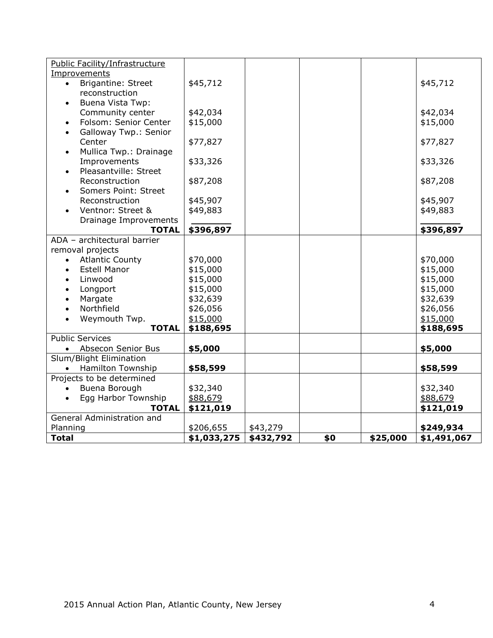| Public Facility/Infrastructure         |             |           |     |          |             |
|----------------------------------------|-------------|-----------|-----|----------|-------------|
| Improvements                           |             |           |     |          |             |
| <b>Brigantine: Street</b><br>$\bullet$ | \$45,712    |           |     |          | \$45,712    |
| reconstruction                         |             |           |     |          |             |
| <b>Buena Vista Twp:</b><br>$\bullet$   |             |           |     |          |             |
| Community center                       | \$42,034    |           |     |          | \$42,034    |
| Folsom: Senior Center<br>$\bullet$     | \$15,000    |           |     |          | \$15,000    |
| Galloway Twp.: Senior<br>$\bullet$     |             |           |     |          |             |
| Center                                 | \$77,827    |           |     |          | \$77,827    |
| Mullica Twp.: Drainage<br>$\bullet$    |             |           |     |          |             |
| Improvements                           | \$33,326    |           |     |          | \$33,326    |
| Pleasantville: Street<br>$\bullet$     |             |           |     |          |             |
| Reconstruction                         | \$87,208    |           |     |          | \$87,208    |
| Somers Point: Street                   |             |           |     |          |             |
| Reconstruction                         | \$45,907    |           |     |          | \$45,907    |
| Ventnor: Street &                      | \$49,883    |           |     |          | \$49,883    |
| Drainage Improvements                  |             |           |     |          |             |
| <b>TOTAL</b>                           | \$396,897   |           |     |          | \$396,897   |
| ADA - architectural barrier            |             |           |     |          |             |
| removal projects                       |             |           |     |          |             |
| <b>Atlantic County</b><br>$\bullet$    | \$70,000    |           |     |          | \$70,000    |
| <b>Estell Manor</b>                    | \$15,000    |           |     |          | \$15,000    |
| Linwood                                | \$15,000    |           |     |          | \$15,000    |
| Longport                               | \$15,000    |           |     |          | \$15,000    |
| Margate                                | \$32,639    |           |     |          | \$32,639    |
| Northfield                             | \$26,056    |           |     |          | \$26,056    |
| Weymouth Twp.<br>$\bullet$             | \$15,000    |           |     |          | \$15,000    |
| <b>TOTAL</b>                           | \$188,695   |           |     |          | \$188,695   |
| <b>Public Services</b>                 |             |           |     |          |             |
| Absecon Senior Bus<br>$\bullet$        | \$5,000     |           |     |          | \$5,000     |
| Slum/Blight Elimination                |             |           |     |          |             |
| <b>Hamilton Township</b><br>$\bullet$  | \$58,599    |           |     |          | \$58,599    |
| Projects to be determined              |             |           |     |          |             |
| Buena Borough<br>$\bullet$             | \$32,340    |           |     |          | \$32,340    |
| Egg Harbor Township                    | \$88,679    |           |     |          | \$88,679    |
| <b>TOTAL</b>                           | \$121,019   |           |     |          | \$121,019   |
| General Administration and             |             |           |     |          |             |
| Planning                               | \$206,655   | \$43,279  |     |          | \$249,934   |
| <b>Total</b>                           | \$1,033,275 | \$432,792 | \$0 | \$25,000 | \$1,491,067 |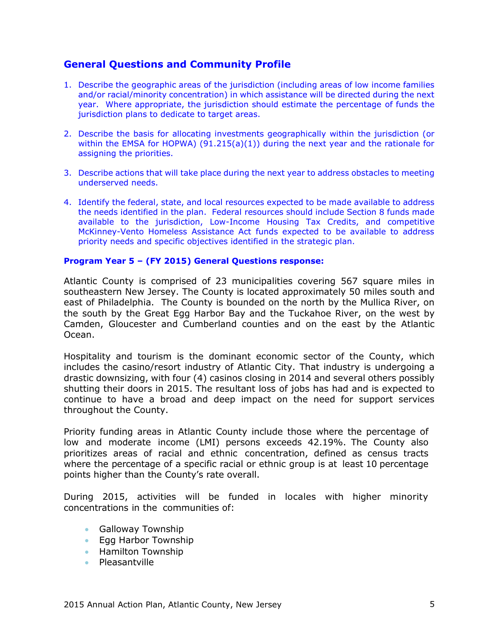# **General Questions and Community Profile**

- 1. Describe the geographic areas of the jurisdiction (including areas of low income families and/or racial/minority concentration) in which assistance will be directed during the next year. Where appropriate, the jurisdiction should estimate the percentage of funds the jurisdiction plans to dedicate to target areas.
- 2. Describe the basis for allocating investments geographically within the jurisdiction (or within the EMSA for HOPWA)  $(91.215(a)(1))$  during the next year and the rationale for assigning the priorities.
- 3. Describe actions that will take place during the next year to address obstacles to meeting underserved needs.
- 4. Identify the federal, state, and local resources expected to be made available to address the needs identified in the plan. Federal resources should include Section 8 funds made available to the jurisdiction, Low-Income Housing Tax Credits, and competitive McKinney-Vento Homeless Assistance Act funds expected to be available to address priority needs and specific objectives identified in the strategic plan.

#### **Program Year 5 – (FY 2015) General Questions response:**

Atlantic County is comprised of 23 municipalities covering 567 square miles in southeastern New Jersey. The County is located approximately 50 miles south and east of Philadelphia. The County is bounded on the north by the Mullica River, on the south by the Great Egg Harbor Bay and the Tuckahoe River, on the west by Camden, Gloucester and Cumberland counties and on the east by the Atlantic Ocean.

Hospitality and tourism is the dominant economic sector of the County, which includes the casino/resort industry of Atlantic City. That industry is undergoing a drastic downsizing, with four (4) casinos closing in 2014 and several others possibly shutting their doors in 2015. The resultant loss of jobs has had and is expected to continue to have a broad and deep impact on the need for support services throughout the County.

Priority funding areas in Atlantic County include those where the percentage of low and moderate income (LMI) persons exceeds 42.19%. The County also prioritizes areas of racial and ethnic concentration, defined as census tracts where the percentage of a specific racial or ethnic group is at least 10 percentage points higher than the County's rate overall.

During 2015, activities will be funded in locales with higher minority concentrations in the communities of:

- **Galloway Township**
- Egg Harbor Township
- **Hamilton Township**
- Pleasantville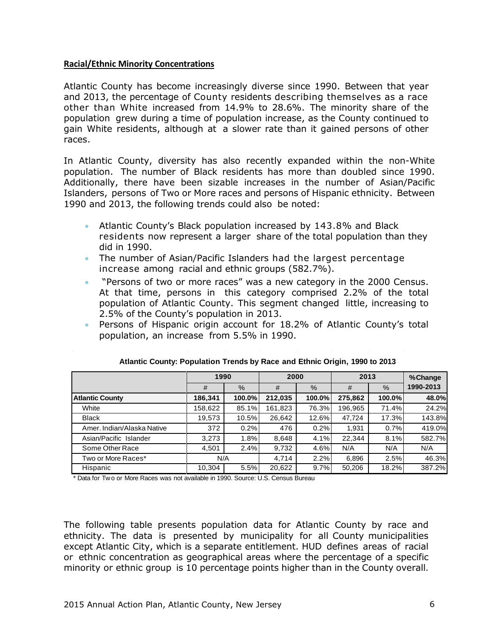### **Racial/Ethnic Minority Concentrations**

Atlantic County has become increasingly diverse since 1990. Between that year and 2013, the percentage of County residents describing themselves as a race other than White increased from 14.9% to 28.6%. The minority share of the population grew during a time of population increase, as the County continued to gain White residents, although at a slower rate than it gained persons of other races.

In Atlantic County, diversity has also recently expanded within the non-White population. The number of Black residents has more than doubled since 1990. Additionally, there have been sizable increases in the number of Asian/Pacific Islanders, persons of Two or More races and persons of Hispanic ethnicity. Between 1990 and 2013, the following trends could also be noted:

- Atlantic County's Black population increased by 143.8% and Black residents now represent a larger share of the total population than they did in 1990.
- The number of Asian/Pacific Islanders had the largest percentage increase among racial and ethnic groups (582.7%).
- "Persons of two or more races" was a new category in the 2000 Census. At that time, persons in this category comprised 2.2% of the total population of Atlantic County. This segment changed little, increasing to 2.5% of the County's population in 2013.
- Persons of Hispanic origin account for 18.2% of Atlantic County's total population, an increase from 5.5% in 1990.

|                            |         | 1990   |         | 2000   |         | 2013   |           |
|----------------------------|---------|--------|---------|--------|---------|--------|-----------|
|                            | #       | $\%$   | #       | $\%$   | #       | $\%$   | 1990-2013 |
| <b>Atlantic County</b>     | 186,341 | 100.0% | 212,035 | 100.0% | 275,862 | 100.0% | 48.0%     |
| White                      | 158,622 | 85.1%  | 161,823 | 76.3%  | 196,965 | 71.4%  | 24.2%     |
| <b>Black</b>               | 19,573  | 10.5%  | 26,642  | 12.6%  | 47,724  | 17.3%  | 143.8%    |
| Amer, Indian/Alaska Native | 372     | 0.2%   | 476     | 0.2%   | 1,931   | 0.7%   | 419.0%    |
| Asian/Pacific Islander     | 3,273   | 1.8%   | 8,648   | 4.1%   | 22.344  | 8.1%   | 582.7%    |
| Some Other Race            | 4,501   | 2.4%   | 9,732   | 4.6%   | N/A     | N/A    | N/A       |
| Two or More Races*         | N/A     |        | 4.714   | 2.2%   | 6,896   | 2.5%   | 46.3%     |
| Hispanic                   | 10,304  | 5.5%   | 20,622  | 9.7%   | 50,206  | 18.2%  | 387.2%    |

\* Data for Two or More Races was not available in 1990. Source: U.S. Census Bureau

The following table presents population data for Atlantic County by race and ethnicity. The data is presented by municipality for all County municipalities except Atlantic City, which is a separate entitlement. HUD defines areas of racial or ethnic concentration as geographical areas where the percentage of a specific minority or ethnic group is 10 percentage points higher than in the County overall.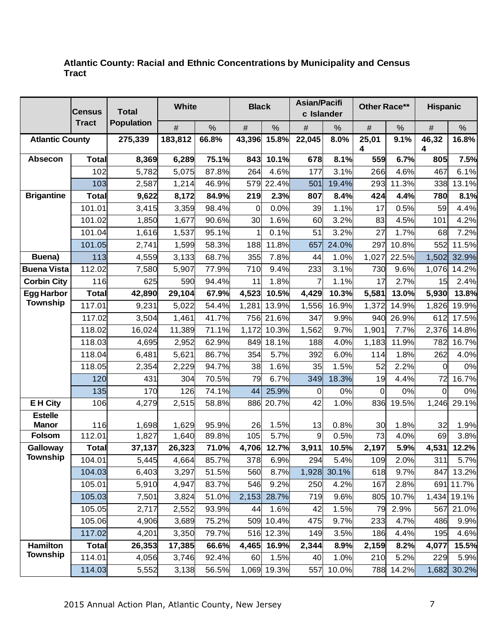### **Atlantic County: Racial and Ethnic Concentrations by Municipality and Census Tract**

|                           | <b>Census</b>          | <b>Total</b>      |                 | <b>Asian/Pacifi</b><br>White<br><b>Black</b><br>Other Race**<br>c Islander |              |               |              | <b>Hispanic</b> |             |              |              |               |
|---------------------------|------------------------|-------------------|-----------------|----------------------------------------------------------------------------|--------------|---------------|--------------|-----------------|-------------|--------------|--------------|---------------|
|                           | <b>Tract</b>           | <b>Population</b> | $\#$            | $\%$                                                                       | $\#$         | %             | $\#$         | $\%$            | $\#$        | %            | $\#$         | $\%$          |
| <b>Atlantic County</b>    |                        | 275,339           | 183,812         | 66.8%                                                                      | 43,396       | 15.8%         | 22,045       | 8.0%            | 25,01<br>4  | 9.1%         | 46,32<br>4   | 16.8%         |
| <b>Absecon</b>            | <b>Total</b>           | 8,369             | 6,289           | 75.1%                                                                      | 843          | 10.1%         | 678          | 8.1%            | 559         | 6.7%         | 805          | 7.5%          |
|                           | 102                    | 5,782             | 5,075           | 87.8%                                                                      | 264          | 4.6%          | 177          | 3.1%            | 266         | 4.6%         | 467          | 6.1%          |
|                           | 103                    | 2,587             | 1,214           | 46.9%                                                                      | 579          | 22.4%         | 501          | 19.4%           | 293         | 11.3%        | 338          | 13.1%         |
| <b>Brigantine</b>         | <b>Total</b>           | 9,622             | 8,172           | 84.9%                                                                      | 219          | 2.3%          | 807          | 8.4%            | 424         | 4.4%         | 780          | 8.1%          |
|                           | 101.01                 | 3,415             | 3,359           | 98.4%                                                                      | $\Omega$     | 0.0%          | 39           | 1.1%            | 17          | 0.5%         | 59           | 4.4%          |
|                           | 101.02                 | 1,850             | 1,677           | 90.6%                                                                      | 30           | 1.6%          | 60           | 3.2%            | 83          | 4.5%         | 101          | 4.2%          |
|                           | 101.04                 | 1,616             | 1,537           | 95.1%                                                                      |              | 0.1%          | 51           | 3.2%            | 27          | 1.7%         | 68           | 7.2%          |
|                           | 101.05                 | 2,741             | 1,599           | 58.3%                                                                      | 188          | 11.8%         | 657          | 24.0%           | 297         | 10.8%        | 552          | 11.5%         |
| Buena)                    | 113                    | 4,559             | 3,133           | 68.7%                                                                      | 355          | 7.8%          | 44           | 1.0%            | 1,027       | 22.5%        | 1,502        | 32.9%         |
| <b>Buena Vista</b>        | 112.02                 | 7,580             | 5,907           | 77.9%                                                                      | 710          | 9.4%          | 233          | 3.1%            | 730         | 9.6%         | 1,076        | 14.2%         |
| <b>Corbin City</b>        | 116                    | 625               | 590             | 94.4%                                                                      | 11           | 1.8%          |              | 1.1%            | 17          | 2.7%         | 15           | 2.4%          |
| <b>Egg Harbor</b>         | <b>Total</b>           | 42,890            | 29,104          | 67.9%                                                                      | 4,523        | 10.5%         | 4,429        | 10.3%           | 5,581       | 13.0%        | 5,930        | 13.8%         |
| <b>Township</b>           | 117.01                 | 9,231             | 5,022           | 54.4%                                                                      | 1,281        | 13.9%         | 1,556        | 16.9%           | 1,372       | 14.9%        | 1,826        | 19.9%         |
|                           | 117.02                 | 3,504             | 1,461           | 41.7%                                                                      |              | 756 21.6%     | 347          | 9.9%            | 940         | 26.9%        | 612          | 17.5%         |
|                           | 118.02                 | 16,024            | 11,389          | 71.1%                                                                      | 1,172        | 10.3%         | 1,562        | 9.7%            | 1,901       | 7.7%         | 2,376        | 14.8%         |
|                           | 118.03                 | 4,695             | 2,952           | 62.9%                                                                      |              | 849 18.1%     | 188          | 4.0%            | 1,183       | 11.9%        | 782          | 16.7%         |
|                           | 118.04                 | 6,481             | 5,621           | 86.7%                                                                      | 354          | 5.7%          | 392          | 6.0%            | 114         | 1.8%         | 262          | 4.0%          |
|                           | 118.05                 | 2,354             | 2,229           | 94.7%                                                                      | 38           | 1.6%          | 35           | 1.5%            | 52          | 2.2%         | $\Omega$     | 0%            |
|                           | 120                    | 431               | 304             | 70.5%                                                                      | 79           | 6.7%          | 349          | 18.3%           | 19          | 4.4%         | 72           | 16.7%         |
|                           | 135                    | 170               | 126             | 74.1%                                                                      | 44           | 25.9%         | 0            | 0%              | 0           | 0%           | $\Omega$     | 0%            |
| <b>EH City</b>            | 106                    | 4,279             | 2,515           | 58.8%                                                                      | 886          | 20.7%         | 42           | 1.0%            | 836         | 19.5%        | 1,246        | 29.1%         |
| <b>Estelle</b>            |                        |                   |                 |                                                                            |              |               |              |                 |             |              |              |               |
| <b>Manor</b>              | 116                    | 1,698             | 1,629           | 95.9%                                                                      | 26           | 1.5%          | 13           | 0.8%            | 30          | 1.8%         | 32           | 1.9%          |
| <b>Folsom</b><br>Galloway | 112.01<br><b>Total</b> | 1,827             | 1,640           | 89.8%<br>71.0%                                                             | 105<br>4,706 | 5.7%<br>12.7% | 9            | 0.5%<br>10.5%   | 73<br>2,197 | 4.0%<br>5.9% | 69           | 3.8%<br>12.2% |
| <b>Township</b>           | 104.01                 | 37,137<br>5,445   | 26,323<br>4,664 | 85.7%                                                                      | 378          | 6.9%          | 3,911<br>294 | 5.4%            | 109         | 2.0%         | 4,531<br>311 | 5.7%          |
|                           | 104.03                 | 6,403             | 3,297           | 51.5%                                                                      | 560          | 8.7%          | 1,928        | 30.1%           | 618         | 9.7%         | 847          | 13.2%         |
|                           | 105.01                 | 5,910             | 4,947           | 83.7%                                                                      | 546          | 9.2%          | 250          | 4.2%            | 167         | 2.8%         | 691          | 11.7%         |
|                           | 105.03                 | 7,501             | 3,824           | 51.0%                                                                      | 2,153        | 28.7%         | 719          | 9.6%            | 805         | 10.7%        | 1,434        | 19.1%         |
|                           | 105.05                 | 2,717             | 2,552           | 93.9%                                                                      | 44           | 1.6%          | 42           | 1.5%            | 79          | 2.9%         | 567          | 21.0%         |
|                           | 105.06                 | 4,906             | 3,689           | 75.2%                                                                      |              | 509 10.4%     | 475          | 9.7%            | 233         | 4.7%         | 486          | 9.9%          |
|                           | 117.02                 | 4,201             | 3,350           | 79.7%                                                                      |              | 516 12.3%     | 149          | 3.5%            | 186         | 4.4%         | 195          | 4.6%          |
| Hamilton                  | <b>Total</b>           | 26,353            | 17,385          | 66.6%                                                                      | 4,465        | 16.9%         | 2,344        | 8.9%            | 2,159       | 8.2%         | 4,077        | 15.5%         |
| <b>Township</b>           | 114.01                 | 4,056             | 3,746           | 92.4%                                                                      | 60           | 1.5%          | 40           | 1.0%            | 210         | 5.2%         | 229          | 5.9%          |
|                           | 114.03                 | 5,552             | 3,138           | 56.5%                                                                      |              | 1,069 19.3%   | 557          | 10.0%           | 788         | 14.2%        | 1,682        | 30.2%         |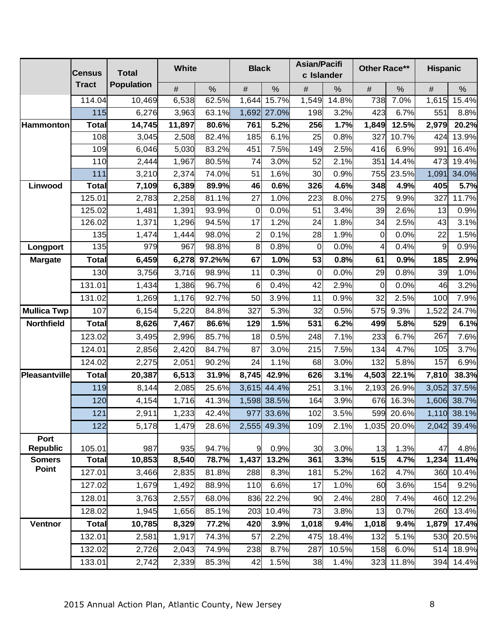|                    | <b>Census</b> | <b>Total</b>      | White          |                | <b>Black</b>   |               |               | <b>Asian/Pacifi</b><br>Other Race**<br><b>Hispanic</b><br>c Islander |             |               |               |                |
|--------------------|---------------|-------------------|----------------|----------------|----------------|---------------|---------------|----------------------------------------------------------------------|-------------|---------------|---------------|----------------|
|                    | <b>Tract</b>  | <b>Population</b> |                |                |                |               |               |                                                                      |             |               |               |                |
|                    | 114.04        | 10,469            | $\#$<br>6,538  | $\frac{0}{0}$  | $\#$<br>1,644  | $\%$<br>15.7% | $\#$<br>1,549 | $\%$<br>14.8%                                                        | $\#$<br>738 | $\%$          | $\#$<br>1,615 | $\%$<br>15.4%  |
|                    | 115           | 6,276             | 3,963          | 62.5%<br>63.1% |                | 1,692 27.0%   | 198           | 3.2%                                                                 | 423         | 7.0%<br>6.7%  | 551           | 8.8%           |
| Hammonton          | <b>Total</b>  | 14,745            | 11,897         | 80.6%          | 761            | 5.2%          | 256           | 1.7%                                                                 | 1,849       | 12.5%         | 2,979         | 20.2%          |
|                    | 108           |                   |                |                | 185            | 6.1%          | 25            | 0.8%                                                                 | 327         | 10.7%         | 424           |                |
|                    | 109           | 3,045             | 2,508          | 82.4%          |                |               |               |                                                                      |             |               |               | 13.9%          |
|                    | 110           | 6,046<br>2,444    | 5,030<br>1,967 | 83.2%<br>80.5% | 451<br>74      | 7.5%<br>3.0%  | 149<br>52     | 2.5%<br>2.1%                                                         | 416<br>351  | 6.9%<br>14.4% | 991<br>473    | 16.4%          |
|                    | 111           | 3,210             | 2,374          | 74.0%          | 51             | 1.6%          | 30            | 0.9%                                                                 | 755         | 23.5%         |               | 19.4%<br>34.0% |
| Linwood            | <b>Total</b>  | 7,109             | 6,389          | 89.9%          | 46             | 0.6%          | 326           | 4.6%                                                                 | 348         | 4.9%          | 1,091<br>405  | 5.7%           |
|                    | 125.01        | 2,783             | 2,258          | 81.1%          | 27             | 1.0%          | 223           | 8.0%                                                                 | 275         | 9.9%          | 327           | 11.7%          |
|                    | 125.02        | 1,481             | 1,391          | 93.9%          | 0              | 0.0%          | 51            | 3.4%                                                                 | 39          | 2.6%          | 13            | 0.9%           |
|                    | 126.02        | 1,371             | 1,296          | 94.5%          | 17             | 1.2%          | 24            | 1.8%                                                                 | 34          | 2.5%          | 43            | 3.1%           |
|                    | 135           | 1,474             | 1,444          | 98.0%          | $\overline{c}$ | 0.1%          | 28            | 1.9%                                                                 | $\mathbf 0$ | 0.0%          | 22            | 1.5%           |
| Longport           | 135           | 979               | 967            | 98.8%          | 8              | 0.8%          | 0             | 0.0%                                                                 | 4           | 0.4%          | 9             | 0.9%           |
| <b>Margate</b>     | <b>Total</b>  | 6,459             | 6,278          | 97.2%%         | 67             | 1.0%          | 53            | 0.8%                                                                 | 61          | 0.9%          | 185           | 2.9%           |
|                    | 130           | 3,756             | 3,716          | 98.9%          | 11             | 0.3%          | $\mathbf 0$   | 0.0%                                                                 | 29          | 0.8%          | 39            | 1.0%           |
|                    | 131.01        | 1,434             | 1,386          | 96.7%          | 6              | 0.4%          | 42            | 2.9%                                                                 | 0           | 0.0%          | 46            | 3.2%           |
|                    | 131.02        | 1,269             | 1,176          | 92.7%          | 50             | 3.9%          | 11            | 0.9%                                                                 | 32          | 2.5%          | 100           | 7.9%           |
| <b>Mullica Twp</b> | 107           | 6,154             | 5,220          | 84.8%          | 327            | 5.3%          | 32            | 0.5%                                                                 | 575         | 9.3%          | 1,522         | 24.7%          |
| <b>Northfield</b>  | <b>Total</b>  | 8,626             | 7,467          | 86.6%          | 129            | 1.5%          | 531           | 6.2%                                                                 | 499         | 5.8%          | 529           | 6.1%           |
|                    | 123.02        | 3,495             | 2,996          | 85.7%          | 18             | 0.5%          | 248           | 7.1%                                                                 | 233         | 6.7%          | 267           | 7.6%           |
|                    | 124.01        | 2,856             | 2,420          | 84.7%          | 87             | 3.0%          | 215           | 7.5%                                                                 | 134         | 4.7%          | 105           | 3.7%           |
|                    | 124.02        | 2,275             | 2,051          | 90.2%          | 24             | 1.1%          | 68            | 3.0%                                                                 | 132         | 5.8%          | 157           | 6.9%           |
| Pleasantville      | <b>Total</b>  | 20,387            | 6,513          | 31.9%          | 8,745          | 42.9%         | 626           | 3.1%                                                                 | 4,503       | 22.1%         | 7,810         | 38.3%          |
|                    | 119           | 8,144             | 2,085          | 25.6%          | 3,615          | 44.4%         | 251           | 3.1%                                                                 | 2,193       | 26.9%         | 3,052         | 37.5%          |
|                    | 120           | 4,154             | 1,716          | 41.3%          |                | 1,598 38.5%   | 164           | 3.9%                                                                 | 676         | 16.3%         | 1,606         | 38.7%          |
|                    | 121           | 2,911             | 1,233          | 42.4%          |                | 977 33.6%     | 102           | 3.5%                                                                 | 599         | 20.6%         |               | 1,110 38.1%    |
|                    | 122           | 5,178             | 1,479          | 28.6%          |                | 2,555 49.3%   | 109           | 2.1%                                                                 | 1,035       | 20.0%         | 2,042         | 39.4%          |
| Port               |               |                   |                |                |                |               |               |                                                                      |             |               |               |                |
| <b>Republic</b>    | 105.01        | 987               | 935            | 94.7%          | 9              | 0.9%          | 30            | 3.0%                                                                 | 13          | 1.3%          | 47            | 4.8%           |
| <b>Somers</b>      | <b>Total</b>  | 10,853            | 8,540          | 78.7%          | 1,437          | 13.2%         | 361           | 3.3%                                                                 | 515         | 4.7%          | 1,234         | 11.4%          |
| Point              | 127.01        | 3,466             | 2,835          | 81.8%          | 288            | 8.3%          | 181           | 5.2%                                                                 | 162         | 4.7%          | 360           | 10.4%          |
|                    | 127.02        | 1,679             | 1,492          | 88.9%          | 110            | 6.6%          | 17            | 1.0%                                                                 | 60          | 3.6%          | 154           | 9.2%           |
|                    | 128.01        | 3,763             | 2,557          | 68.0%          |                | 836 22.2%     | 90            | 2.4%                                                                 | 280         | 7.4%          | 460           | 12.2%          |
|                    | 128.02        | 1,945             | 1,656          | 85.1%          |                | 203 10.4%     | 73            | 3.8%                                                                 | 13          | 0.7%          | 260           | 13.4%          |
| Ventnor            | <b>Total</b>  | 10,785            | 8,329          | 77.2%          | 420            | 3.9%          | 1,018         | 9.4%                                                                 | 1,018       | 9.4%          | 1,879         | 17.4%          |
|                    | 132.01        | 2,581             | 1,917          | 74.3%          | 57             | 2.2%          | 475           | 18.4%                                                                | 132         | 5.1%          | 530           | 20.5%          |
|                    | 132.02        | 2,726             | 2,043          | 74.9%          | 238            | 8.7%          | 287           | 10.5%                                                                | 158         | 6.0%          | 514           | 18.9%          |
|                    | 133.01        | 2,742             | 2,339          | 85.3%          | 42             | 1.5%          | 38            | 1.4%                                                                 | 323         | 11.8%         | 394           | 14.4%          |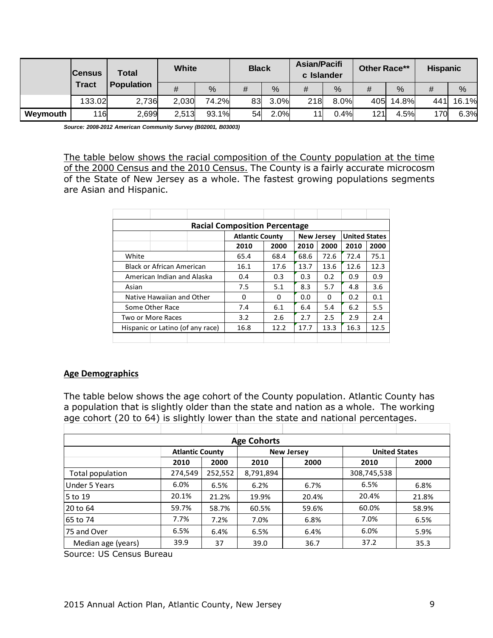|          | Total<br><b>Census</b><br><b>Tract</b><br><b>Population</b> |       | White |               | <b>Black</b> |      | <b>Asian/Pacifi</b><br>c Islander |      | Other Race** |               | <b>Hispanic</b> |       |
|----------|-------------------------------------------------------------|-------|-------|---------------|--------------|------|-----------------------------------|------|--------------|---------------|-----------------|-------|
|          |                                                             |       | #     | $\frac{0}{0}$ | #            | %    | #                                 | %    | #            | $\frac{0}{0}$ | #               | %     |
|          | 133.02                                                      | 2,736 | 2,030 | 74.2%         | 83           | 3.0% | 218                               | 8.0% | 405          | 14.8%         | 441             | 16.1% |
| Weymouth | 116                                                         | 2,699 | 2,513 | 93.1%         | 54           | 2.0% | 11                                | 0.4% | 121          | 4.5%          | 170             | 6.3%  |

*Source: 2008-2012 American Community Survey (B02001, B03003)*

The table below shows the racial composition of the County population at the time of the 2000 Census and the 2010 Census. The County is a fairly accurate microcosm of the State of New Jersey as a whole. The fastest growing populations segments are Asian and Hispanic.

| <b>Racial Composition Percentage</b> |                            |  |                        |      |                   |                      |      |      |  |  |
|--------------------------------------|----------------------------|--|------------------------|------|-------------------|----------------------|------|------|--|--|
|                                      |                            |  | <b>Atlantic County</b> |      | <b>New Jersey</b> | <b>United States</b> |      |      |  |  |
|                                      |                            |  | 2010                   | 2000 | 2010              | 2000                 | 2010 | 2000 |  |  |
| White                                |                            |  | 65.4                   | 68.4 | 68.6              | 72.6                 | 72.4 | 75.1 |  |  |
| Black or African American            |                            |  | 16.1                   | 17.6 | 13.7              | 13.6                 | 12.6 | 12.3 |  |  |
|                                      | American Indian and Alaska |  | 0.4                    | 0.3  | 0.3               | 0.2                  | 0.9  | 0.9  |  |  |
| Asian                                |                            |  | 7.5                    | 5.1  | 8.3               | 5.7                  | 4.8  | 3.6  |  |  |
|                                      | Native Hawaiian and Other  |  | 0                      | 0    | 0.0               | $\Omega$             | 0.2  | 0.1  |  |  |
|                                      | Some Other Race            |  | 7.4                    | 6.1  | 6.4               | 5.4                  | 6.2  | 5.5  |  |  |
| Two or More Races                    |                            |  | 3.2                    | 2.6  | 2.7               | 2.5                  | 2.9  | 2.4  |  |  |
| Hispanic or Latino (of any race)     |                            |  | 16.8                   | 12.2 | 17.7              | 13.3                 | 16.3 | 12.5 |  |  |
|                                      |                            |  |                        |      |                   |                      |      |      |  |  |

#### **Age Demographics**

The table below shows the age cohort of the County population. Atlantic County has a population that is slightly older than the state and nation as a whole. The working age cohort (20 to 64) is slightly lower than the state and national percentages.

| <b>Age Cohorts</b>       |                        |         |           |                   |                      |       |  |  |  |
|--------------------------|------------------------|---------|-----------|-------------------|----------------------|-------|--|--|--|
|                          | <b>Atlantic County</b> |         |           | <b>New Jersey</b> | <b>United States</b> |       |  |  |  |
|                          | 2010                   | 2000    | 2010      | 2000              | 2010                 | 2000  |  |  |  |
| Total population         | 274,549                | 252,552 | 8,791,894 |                   | 308,745,538          |       |  |  |  |
| <b>Under 5 Years</b>     | 6.0%                   | 6.5%    | 6.2%      | 6.7%              | 6.5%                 | 6.8%  |  |  |  |
| 5 to 19                  | 20.1%                  | 21.2%   | 19.9%     | 20.4%             | 20.4%                | 21.8% |  |  |  |
| 20 to 64                 | 59.7%                  | 58.7%   | 60.5%     | 59.6%             | 60.0%                | 58.9% |  |  |  |
| 65 to 74                 | 7.7%                   | 7.2%    | 7.0%      | 6.8%              | 7.0%                 | 6.5%  |  |  |  |
| 75 and Over              | 6.5%                   | 6.4%    | 6.5%      | 6.4%              | 6.0%                 | 5.9%  |  |  |  |
| Median age (years)       | 39.9                   | 37      | 39.0      | 36.7              | 37.2                 | 35.3  |  |  |  |
| Source: US Census Bureau |                        |         |           |                   |                      |       |  |  |  |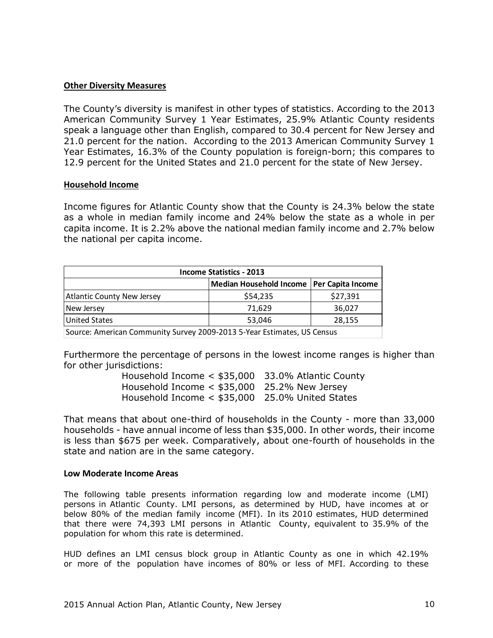### **Other Diversity Measures**

The County's diversity is manifest in other types of statistics. According to the 2013 American Community Survey 1 Year Estimates, 25.9% Atlantic County residents speak a language other than English, compared to 30.4 percent for New Jersey and 21.0 percent for the nation. According to the 2013 American Community Survey 1 Year Estimates, 16.3% of the County population is foreign-born; this compares to 12.9 percent for the United States and 21.0 percent for the state of New Jersey.

#### **Household Income**

Income figures for Atlantic County show that the County is 24.3% below the state as a whole in median family income and 24% below the state as a whole in per capita income. It is 2.2% above the national median family income and 2.7% below the national per capita income.

| <b>Income Statistics - 2013</b> |                                                                                                                                  |          |  |  |  |  |  |  |  |
|---------------------------------|----------------------------------------------------------------------------------------------------------------------------------|----------|--|--|--|--|--|--|--|
|                                 | Median Household Income   Per Capita Income                                                                                      |          |  |  |  |  |  |  |  |
| Atlantic County New Jersey      | \$54,235                                                                                                                         | \$27,391 |  |  |  |  |  |  |  |
| New Jersey                      | 71,629                                                                                                                           | 36,027   |  |  |  |  |  |  |  |
| United States                   | 53.046                                                                                                                           | 28,155   |  |  |  |  |  |  |  |
|                                 | $\overline{C}$ . And the $\overline{C}$ , the $\overline{C}$ such a contract $\overline{C}$ . The substitution of $\overline{C}$ |          |  |  |  |  |  |  |  |

Source: American Community Survey 2009-2013 5-Year Estimates, US Census

Furthermore the percentage of persons in the lowest income ranges is higher than for other jurisdictions:

> Household Income < \$35,000 33.0% Atlantic County Household Income < \$35,000 25.2% New Jersey Household Income < \$35,000 25.0% United States

That means that about one-third of households in the County - more than 33,000 households - have annual income of less than \$35,000. In other words, their income is less than \$675 per week. Comparatively, about one-fourth of households in the state and nation are in the same category.

#### **Low Moderate Income Areas**

The following table presents information regarding low and moderate income (LMI) persons in Atlantic County. LMI persons, as determined by HUD, have incomes at or below 80% of the median family income (MFI). In its 2010 estimates, HUD determined that there were 74,393 LMI persons in Atlantic County, equivalent to 35.9% of the population for whom this rate is determined.

HUD defines an LMI census block group in Atlantic County as one in which 42.19% or more of the population have incomes of 80% or less of MFI. According to these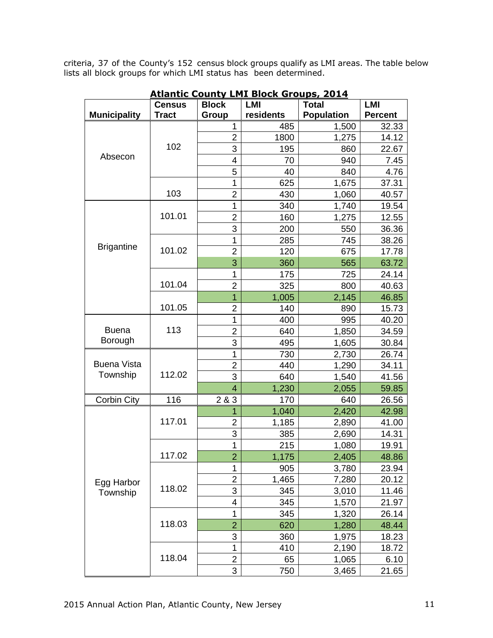criteria, 37 of the County's 152 census block groups qualify as LMI areas. The table below lists all block groups for which LMI status has been determined.

|                     | <b>Census</b> | <b>Block</b>   | <b>LMI</b> | <b>Total</b>      | <b>LMI</b>     |
|---------------------|---------------|----------------|------------|-------------------|----------------|
| <b>Municipality</b> | <b>Tract</b>  | Group          | residents  | <b>Population</b> | <b>Percent</b> |
|                     |               | 1              | 485        | 1,500             | 32.33          |
|                     |               | $\overline{2}$ | 1800       | 1,275             | 14.12          |
|                     | 102           | 3              | 195        | 860               | 22.67          |
| Absecon             |               | 4              | 70         | 940               | 7.45           |
|                     |               | 5              | 40         | 840               | 4.76           |
|                     |               | 1              | 625        | 1,675             | 37.31          |
|                     | 103           | $\overline{2}$ | 430        | 1,060             | 40.57          |
|                     |               | 1              | 340        | 1,740             | 19.54          |
|                     | 101.01        | $\overline{2}$ | 160        | 1,275             | 12.55          |
|                     |               | 3              | 200        | 550               | 36.36          |
|                     |               | 1              | 285        | 745               | 38.26          |
| <b>Brigantine</b>   | 101.02        | $\overline{2}$ | 120        | 675               | 17.78          |
|                     |               | 3              | 360        | 565               | 63.72          |
|                     |               | 1              | 175        | 725               | 24.14          |
|                     | 101.04        | $\overline{2}$ | 325        | 800               | 40.63          |
|                     |               | $\overline{1}$ | 1,005      | 2,145             | 46.85          |
|                     | 101.05        | $\overline{2}$ | 140        | 890               | 15.73          |
|                     |               | 1              | 400        | 995               | 40.20          |
| <b>Buena</b>        | 113           | $\overline{2}$ | 640        | 1,850             | 34.59          |
| Borough             |               | 3              | 495        | 1,605             | 30.84          |
|                     |               | 1              | 730        | 2,730             | 26.74          |
| <b>Buena Vista</b>  | 112.02        | $\overline{2}$ | 440        | 1,290             | 34.11          |
| Township            |               | 3              | 640        | 1,540             | 41.56          |
|                     |               | 4              | 1,230      | 2,055             | 59.85          |
| <b>Corbin City</b>  | 116           | 2 & 3          | 170        | 640               | 26.56          |
|                     |               | 1              | 1,040      | 2,420             | 42.98          |
|                     | 117.01        | $\overline{2}$ | 1,185      | 2,890             | 41.00          |
|                     |               | 3              | 385        | 2,690             | 14.31          |
|                     |               | 1              | 215        | 1,080             | 19.91          |
|                     | 117.02        | $\overline{2}$ | 1,175      | 2,405             | 48.86          |
|                     |               | 1              | 905        | 3,780             | 23.94          |
| Egg Harbor          |               | $\overline{2}$ | 1,465      | 7,280             | 20.12          |
| Township            | 118.02        | 3              | 345        | 3,010             | 11.46          |
|                     |               | 4              | 345        | 1,570             | 21.97          |
|                     |               | 1              | 345        | 1,320             | 26.14          |
|                     | 118.03        | $\overline{2}$ | 620        | 1,280             | 48.44          |
|                     |               | 3              | 360        | 1,975             | 18.23          |
|                     |               | 1              | 410        | 2,190             | 18.72          |
|                     | 118.04        | $\overline{2}$ | 65         | 1,065             | 6.10           |
|                     |               | 3              | 750        | 3,465             | 21.65          |

**Atlantic County LMI Block Groups, 2014**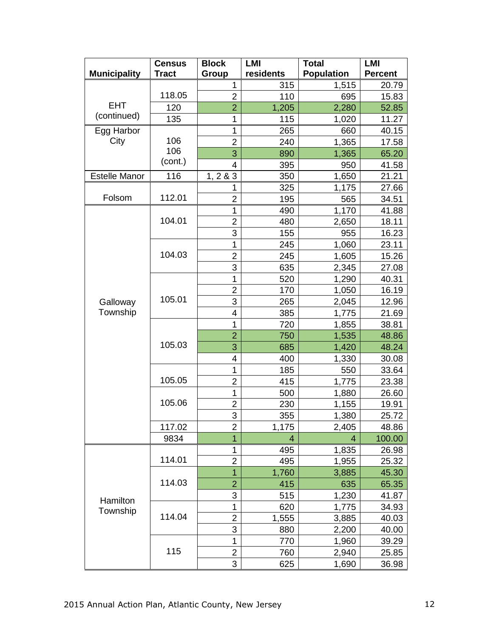|                      | <b>Census</b> | <b>Block</b>   | <b>LMI</b> | <b>Total</b>      | <b>LMI</b>     |
|----------------------|---------------|----------------|------------|-------------------|----------------|
| <b>Municipality</b>  | <b>Tract</b>  | Group          | residents  | <b>Population</b> | <b>Percent</b> |
|                      |               | 1              | 315        | 1,515             | 20.79          |
|                      | 118.05        | $\overline{2}$ | 110        | 695               | 15.83          |
| <b>EHT</b>           | 120           | $\overline{2}$ | 1,205      | 2,280             | 52.85          |
| (continued)          | 135           | 1              | 115        | 1,020             | 11.27          |
| Egg Harbor           |               | 1              | 265        | 660               | 40.15          |
| City                 | 106           | $\overline{2}$ | 240        | 1,365             | 17.58          |
|                      | 106           | 3              | 890        | 1,365             | 65.20          |
|                      | (cont.)       | 4              | 395        | 950               | 41.58          |
| <b>Estelle Manor</b> | 116           | 1, 2 & 3       | 350        | 1,650             | 21.21          |
|                      |               | 1              | 325        | 1,175             | 27.66          |
| Folsom               | 112.01        | $\overline{2}$ | 195        | 565               | 34.51          |
|                      |               | 1              | 490        | 1,170             | 41.88          |
|                      | 104.01        | $\overline{2}$ | 480        | 2,650             | 18.11          |
|                      |               | 3              | 155        | 955               | 16.23          |
|                      |               | 1              | 245        | 1,060             | 23.11          |
|                      | 104.03        | $\overline{2}$ | 245        | 1,605             | 15.26          |
|                      |               | 3              | 635        | 2,345             | 27.08          |
|                      |               | 1              | 520        | 1,290             | 40.31          |
|                      |               | $\overline{2}$ | 170        | 1,050             | 16.19          |
| Galloway             | 105.01        | 3              | 265        | 2,045             | 12.96          |
| Township             |               | 4              | 385        | 1,775             | 21.69          |
|                      |               | 1              | 720        | 1,855             | 38.81          |
|                      |               | $\overline{2}$ | 750        | 1,535             | 48.86          |
|                      | 105.03        | 3              | 685        | 1,420             | 48.24          |
|                      |               | 4              | 400        | 1,330             | 30.08          |
|                      |               | 1              | 185        | 550               | 33.64          |
|                      | 105.05        | $\overline{2}$ | 415        | 1,775             | 23.38          |
|                      |               | 1              | 500        | 1,880             | 26.60          |
|                      | 105.06        | $\overline{c}$ | 230        | 1,155             | 19.91          |
|                      |               | 3              | 355        | 1.380             | 25.72          |
|                      | 117.02        | $\overline{2}$ | 1,175      | 2,405             | 48.86          |
|                      | 9834          | 1              | 4          | 4                 | 100.00         |
|                      |               | 1              | 495        | 1,835             | 26.98          |
|                      | 114.01        | $\overline{2}$ | 495        | 1,955             | 25.32          |
|                      |               | $\overline{1}$ | 1,760      | 3,885             | 45.30          |
|                      | 114.03        | $\overline{2}$ | 415        | 635               | 65.35          |
|                      |               | 3              | 515        | 1,230             | 41.87          |
| Hamilton<br>Township |               | 1              | 620        | 1,775             | 34.93          |
|                      | 114.04        | $\overline{2}$ | 1,555      | 3,885             | 40.03          |
|                      |               | 3              | 880        | 2,200             | 40.00          |
|                      |               | 1              | 770        | 1,960             | 39.29          |
|                      | 115           | $\overline{2}$ | 760        | 2,940             | 25.85          |
|                      |               | 3              | 625        | 1,690             | 36.98          |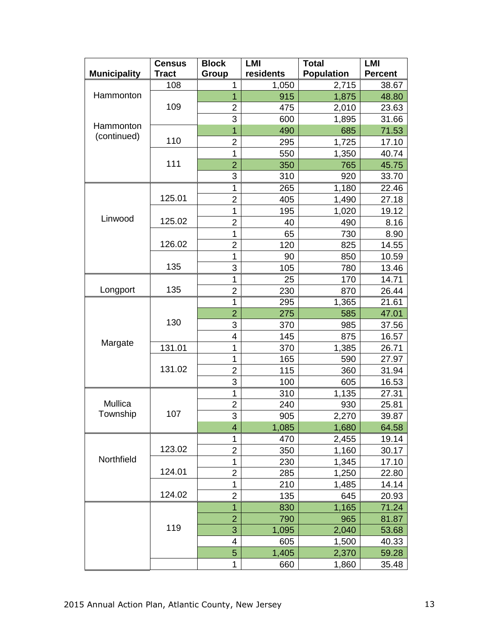|                     | <b>Census</b> | <b>Block</b>   | <b>LMI</b> | <b>Total</b>      | <b>LMI</b>     |
|---------------------|---------------|----------------|------------|-------------------|----------------|
| <b>Municipality</b> | <b>Tract</b>  | Group          | residents  | <b>Population</b> | <b>Percent</b> |
| Hammonton           | 108           | 1              | 1,050      | 2,715             | 38.67          |
|                     |               | 1              | 915        | 1,875             | 48.80          |
|                     | 109           | $\overline{2}$ | 475        | 2,010             | 23.63          |
|                     |               | 3              | 600        | 1,895             | 31.66          |
| Hammonton           |               | $\overline{1}$ | 490        | 685               | 71.53          |
| (continued)         | 110           | $\overline{2}$ | 295        | 1,725             | 17.10          |
|                     |               | $\mathbf{1}$   | 550        | 1,350             | 40.74          |
|                     | 111           | $\overline{2}$ | 350        | 765               | 45.75          |
|                     |               | 3              | 310        | 920               | 33.70          |
|                     |               | 1              | 265        | 1,180             | 22.46          |
|                     | 125.01        | $\overline{2}$ | 405        | 1,490             | 27.18          |
|                     |               | 1              | 195        | 1,020             | 19.12          |
| Linwood             | 125.02        | $\overline{2}$ | 40         | 490               | 8.16           |
|                     |               | 1              | 65         | 730               | 8.90           |
|                     | 126.02        | $\overline{c}$ | 120        | 825               | 14.55          |
|                     |               | 1              | 90         | 850               | 10.59          |
|                     | 135           | 3              | 105        | 780               | 13.46          |
|                     |               | 1              | 25         | 170               | 14.71          |
| Longport            | 135           | $\overline{2}$ | 230        | 870               | 26.44          |
|                     | 130           | 1              | 295        | 1,365             | 21.61          |
| Margate             |               | $\overline{2}$ | 275        | 585               | 47.01          |
|                     |               | 3              | 370        | 985               | 37.56          |
|                     |               | 4              | 145        | 875               | 16.57          |
|                     | 131.01        | 1              | 370        | 1,385             | 26.71          |
|                     |               | 1              | 165        | 590               | 27.97          |
|                     | 131.02        | $\overline{2}$ | 115        | 360               | 31.94          |
|                     |               | 3              | 100        | 605               | 16.53          |
| Mullica<br>Township | 107           | 1              | 310        | 1,135             | 27.31          |
|                     |               | $\overline{c}$ | 240        | 930               | 25.81          |
|                     |               | 3              | 905        | 2.270             | 39.87          |
|                     |               | 4              | 1,085      | 1,680             | 64.58          |
| Northfield          |               | 1              | 470        | 2,455             | 19.14          |
|                     | 123.02        | $\overline{2}$ | 350        | 1,160             | 30.17          |
|                     |               | $\mathbf{1}$   | 230        | 1,345             | 17.10          |
|                     | 124.01        | 2              | 285        | 1,250             | 22.80          |
|                     |               | $\mathbf{1}$   | 210        | 1,485             | 14.14          |
|                     | 124.02        | $\overline{2}$ | 135        | 645               | 20.93          |
|                     |               | 1              | 830        | 1,165             | 71.24          |
|                     | 119           | $\overline{2}$ | 790        | 965               | 81.87          |
|                     |               | $\overline{3}$ | 1,095      | 2,040             | 53.68          |
|                     |               | 4              | 605        | 1,500             | 40.33          |
|                     |               | 5              | 1,405      | 2,370             | 59.28          |
|                     |               | 1              | 660        | 1,860             | 35.48          |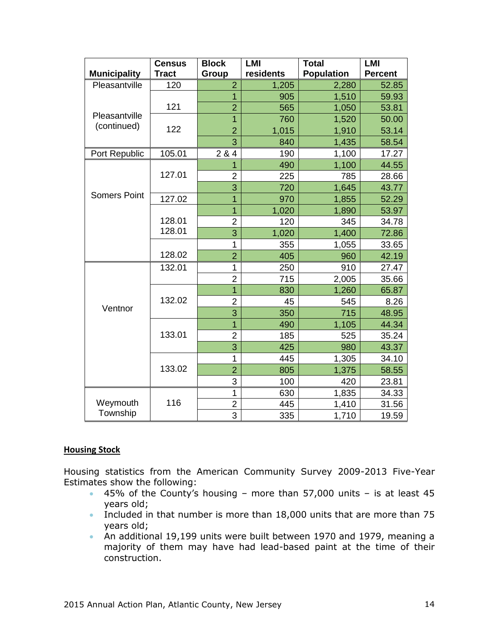|                      | <b>Census</b><br><b>Tract</b> | <b>Block</b>   | <b>LMI</b><br>residents | <b>Total</b><br><b>Population</b> | <b>LMI</b><br><b>Percent</b> |
|----------------------|-------------------------------|----------------|-------------------------|-----------------------------------|------------------------------|
| <b>Municipality</b>  |                               | Group          |                         |                                   |                              |
| Pleasantville        | 120                           | $\overline{2}$ | 1,205                   | 2,280                             | 52.85                        |
| Pleasantville        |                               | $\overline{1}$ | 905                     | 1,510                             | 59.93                        |
|                      | 121                           | $\overline{2}$ | 565                     | 1,050                             | 53.81                        |
| (continued)          |                               | $\overline{1}$ | 760                     | 1,520                             | 50.00                        |
|                      | 122                           | $\overline{2}$ | 1,015                   | 1,910                             | 53.14                        |
|                      |                               | 3              | 840                     | 1,435                             | 58.54                        |
| Port Republic        | 105.01                        | 2 & 4          | 190                     | 1,100                             | 17.27                        |
|                      |                               | 1              | 490                     | 1,100                             | 44.55                        |
|                      | 127.01                        | $\overline{2}$ | 225                     | 785                               | 28.66                        |
|                      |                               | 3              | 720                     | 1,645                             | 43.77                        |
| <b>Somers Point</b>  | 127.02                        | $\overline{1}$ | 970                     | 1,855                             | 52.29                        |
|                      |                               | $\overline{1}$ | 1,020                   | 1,890                             | 53.97                        |
|                      | 128.01                        | $\overline{2}$ | 120                     | 345                               | 34.78                        |
|                      | 128.01                        | 3              | 1,020                   | 1,400                             | 72.86                        |
|                      |                               | 1              | 355                     | 1,055                             | 33.65                        |
|                      | 128.02                        | $\overline{2}$ | 405                     | 960                               | 42.19                        |
| Ventnor              | 132.01                        | 1              | 250                     | 910                               | 27.47                        |
|                      |                               | $\overline{2}$ | 715                     | 2,005                             | 35.66                        |
|                      |                               | $\overline{1}$ | 830                     | 1,260                             | 65.87                        |
|                      | 132.02                        | $\overline{2}$ | 45                      | 545                               | 8.26                         |
|                      |                               | 3              | 350                     | 715                               | 48.95                        |
|                      |                               | $\overline{1}$ | 490                     | 1,105                             | 44.34                        |
|                      | 133.01                        | $\overline{2}$ | 185                     | 525                               | 35.24                        |
|                      |                               | 3              | 425                     | 980                               | 43.37                        |
|                      |                               | 1              | 445                     | 1,305                             | 34.10                        |
|                      | 133.02                        | $\overline{2}$ | 805                     | 1,375                             | 58.55                        |
|                      |                               | 3              | 100                     | 420                               | 23.81                        |
| Weymouth<br>Township |                               | 1              | 630                     | 1,835                             | 34.33                        |
|                      | 116                           | $\overline{2}$ | 445                     | 1,410                             | 31.56                        |
|                      |                               | 3              | 335                     | 1,710                             | 19.59                        |

# **Housing Stock**

Housing statistics from the American Community Survey 2009-2013 Five-Year Estimates show the following:

- $\bullet$  45% of the County's housing more than 57,000 units is at least 45 years old;
- Included in that number is more than  $18,000$  units that are more than 75 years old;
- An additional 19,199 units were built between 1970 and 1979, meaning a majority of them may have had lead-based paint at the time of their construction.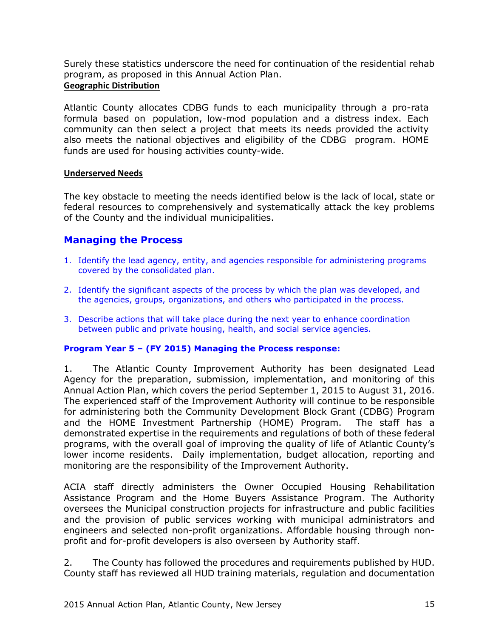Surely these statistics underscore the need for continuation of the residential rehab program, as proposed in this Annual Action Plan.

### **Geographic Distribution**

Atlantic County allocates CDBG funds to each municipality through a pro-rata formula based on population, low-mod population and a distress index. Each community can then select a project that meets its needs provided the activity also meets the national objectives and eligibility of the CDBG program. HOME funds are used for housing activities county-wide.

### **Underserved Needs**

The key obstacle to meeting the needs identified below is the lack of local, state or federal resources to comprehensively and systematically attack the key problems of the County and the individual municipalities.

# **Managing the Process**

- 1. Identify the lead agency, entity, and agencies responsible for administering programs covered by the consolidated plan.
- 2. Identify the significant aspects of the process by which the plan was developed, and the agencies, groups, organizations, and others who participated in the process.
- 3. Describe actions that will take place during the next year to enhance coordination between public and private housing, health, and social service agencies.

# **Program Year 5 – (FY 2015) Managing the Process response:**

1. The Atlantic County Improvement Authority has been designated Lead Agency for the preparation, submission, implementation, and monitoring of this Annual Action Plan, which covers the period September 1, 2015 to August 31, 2016. The experienced staff of the Improvement Authority will continue to be responsible for administering both the Community Development Block Grant (CDBG) Program and the HOME Investment Partnership (HOME) Program. The staff has a demonstrated expertise in the requirements and regulations of both of these federal programs, with the overall goal of improving the quality of life of Atlantic County's lower income residents. Daily implementation, budget allocation, reporting and monitoring are the responsibility of the Improvement Authority.

ACIA staff directly administers the Owner Occupied Housing Rehabilitation Assistance Program and the Home Buyers Assistance Program. The Authority oversees the Municipal construction projects for infrastructure and public facilities and the provision of public services working with municipal administrators and engineers and selected non-profit organizations. Affordable housing through nonprofit and for-profit developers is also overseen by Authority staff.

2. The County has followed the procedures and requirements published by HUD. County staff has reviewed all HUD training materials, regulation and documentation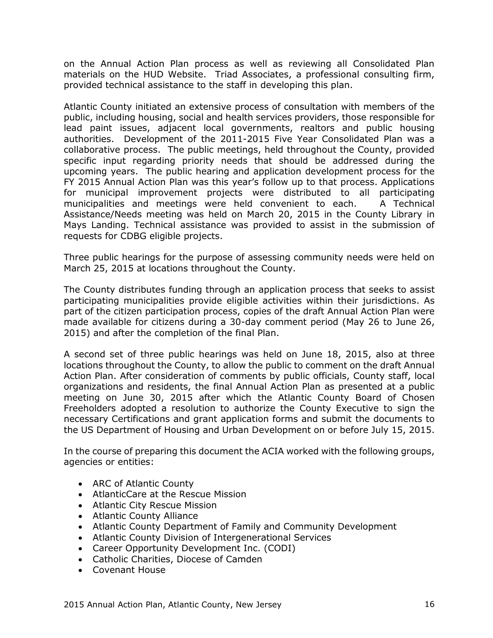on the Annual Action Plan process as well as reviewing all Consolidated Plan materials on the HUD Website. Triad Associates, a professional consulting firm, provided technical assistance to the staff in developing this plan.

Atlantic County initiated an extensive process of consultation with members of the public, including housing, social and health services providers, those responsible for lead paint issues, adjacent local governments, realtors and public housing authorities. Development of the 2011-2015 Five Year Consolidated Plan was a collaborative process. The public meetings, held throughout the County, provided specific input regarding priority needs that should be addressed during the upcoming years. The public hearing and application development process for the FY 2015 Annual Action Plan was this year's follow up to that process. Applications for municipal improvement projects were distributed to all participating municipalities and meetings were held convenient to each. A Technical Assistance/Needs meeting was held on March 20, 2015 in the County Library in Mays Landing. Technical assistance was provided to assist in the submission of requests for CDBG eligible projects.

Three public hearings for the purpose of assessing community needs were held on March 25, 2015 at locations throughout the County.

The County distributes funding through an application process that seeks to assist participating municipalities provide eligible activities within their jurisdictions. As part of the citizen participation process, copies of the draft Annual Action Plan were made available for citizens during a 30-day comment period (May 26 to June 26, 2015) and after the completion of the final Plan.

A second set of three public hearings was held on June 18, 2015, also at three locations throughout the County, to allow the public to comment on the draft Annual Action Plan. After consideration of comments by public officials, County staff, local organizations and residents, the final Annual Action Plan as presented at a public meeting on June 30, 2015 after which the Atlantic County Board of Chosen Freeholders adopted a resolution to authorize the County Executive to sign the necessary Certifications and grant application forms and submit the documents to the US Department of Housing and Urban Development on or before July 15, 2015.

In the course of preparing this document the ACIA worked with the following groups, agencies or entities:

- ARC of Atlantic County
- AtlanticCare at the Rescue Mission
- Atlantic City Rescue Mission
- Atlantic County Alliance
- Atlantic County Department of Family and Community Development
- Atlantic County Division of Intergenerational Services
- Career Opportunity Development Inc. (CODI)
- Catholic Charities, Diocese of Camden
- Covenant House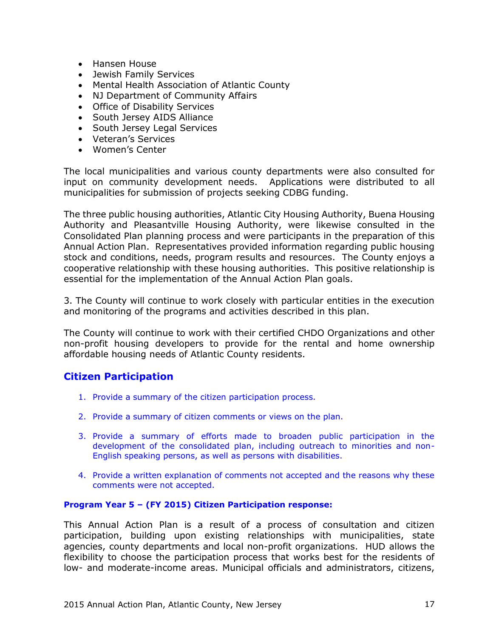- Hansen House
- Jewish Family Services
- Mental Health Association of Atlantic County
- NJ Department of Community Affairs
- Office of Disability Services
- South Jersey AIDS Alliance
- South Jersey Legal Services
- Veteran's Services
- Women's Center

The local municipalities and various county departments were also consulted for input on community development needs. Applications were distributed to all municipalities for submission of projects seeking CDBG funding.

The three public housing authorities, Atlantic City Housing Authority, Buena Housing Authority and Pleasantville Housing Authority, were likewise consulted in the Consolidated Plan planning process and were participants in the preparation of this Annual Action Plan. Representatives provided information regarding public housing stock and conditions, needs, program results and resources. The County enjoys a cooperative relationship with these housing authorities. This positive relationship is essential for the implementation of the Annual Action Plan goals.

3. The County will continue to work closely with particular entities in the execution and monitoring of the programs and activities described in this plan.

The County will continue to work with their certified CHDO Organizations and other non-profit housing developers to provide for the rental and home ownership affordable housing needs of Atlantic County residents.

# **Citizen Participation**

- 1. Provide a summary of the citizen participation process.
- 2. Provide a summary of citizen comments or views on the plan.
- 3. Provide a summary of efforts made to broaden public participation in the development of the consolidated plan, including outreach to minorities and non-English speaking persons, as well as persons with disabilities.
- 4. Provide a written explanation of comments not accepted and the reasons why these comments were not accepted.

### **Program Year 5 – (FY 2015) Citizen Participation response:**

This Annual Action Plan is a result of a process of consultation and citizen participation, building upon existing relationships with municipalities, state agencies, county departments and local non-profit organizations. HUD allows the flexibility to choose the participation process that works best for the residents of low- and moderate-income areas. Municipal officials and administrators, citizens,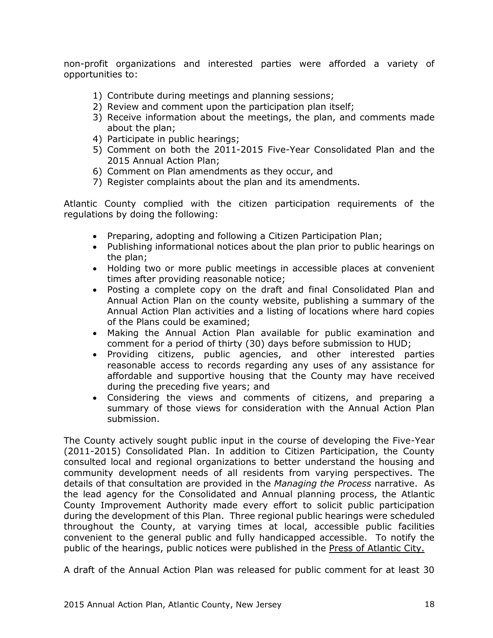non-profit organizations and interested parties were afforded a variety of opportunities to:

- 1) Contribute during meetings and planning sessions;
- 2) Review and comment upon the participation plan itself;
- 3) Receive information about the meetings, the plan, and comments made about the plan;
- 4) Participate in public hearings;
- 5) Comment on both the 2011-2015 Five-Year Consolidated Plan and the 2015 Annual Action Plan;
- 6) Comment on Plan amendments as they occur, and
- 7) Register complaints about the plan and its amendments.

Atlantic County complied with the citizen participation requirements of the regulations by doing the following:

- Preparing, adopting and following a Citizen Participation Plan;
- Publishing informational notices about the plan prior to public hearings on the plan;
- Holding two or more public meetings in accessible places at convenient times after providing reasonable notice;
- Posting a complete copy on the draft and final Consolidated Plan and Annual Action Plan on the county website, publishing a summary of the Annual Action Plan activities and a listing of locations where hard copies of the Plans could be examined;
- Making the Annual Action Plan available for public examination and comment for a period of thirty (30) days before submission to HUD;
- Providing citizens, public agencies, and other interested parties reasonable access to records regarding any uses of any assistance for affordable and supportive housing that the County may have received during the preceding five years; and
- Considering the views and comments of citizens, and preparing a summary of those views for consideration with the Annual Action Plan submission.

The County actively sought public input in the course of developing the Five-Year (2011-2015) Consolidated Plan. In addition to Citizen Participation, the County consulted local and regional organizations to better understand the housing and community development needs of all residents from varying perspectives. The details of that consultation are provided in the *Managing the Process* narrative. As the lead agency for the Consolidated and Annual planning process, the Atlantic County Improvement Authority made every effort to solicit public participation during the development of this Plan. Three regional public hearings were scheduled throughout the County, at varying times at local, accessible public facilities convenient to the general public and fully handicapped accessible. To notify the public of the hearings, public notices were published in the Press of Atlantic City.

A draft of the Annual Action Plan was released for public comment for at least 30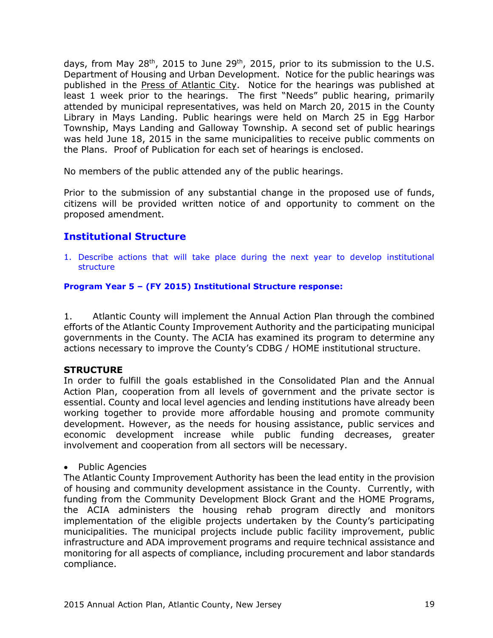days, from May 28<sup>th</sup>, 2015 to June 29<sup>th</sup>, 2015, prior to its submission to the U.S. Department of Housing and Urban Development. Notice for the public hearings was published in the Press of Atlantic City. Notice for the hearings was published at least 1 week prior to the hearings. The first "Needs" public hearing, primarily attended by municipal representatives, was held on March 20, 2015 in the County Library in Mays Landing. Public hearings were held on March 25 in Egg Harbor Township, Mays Landing and Galloway Township. A second set of public hearings was held June 18, 2015 in the same municipalities to receive public comments on the Plans. Proof of Publication for each set of hearings is enclosed.

No members of the public attended any of the public hearings.

Prior to the submission of any substantial change in the proposed use of funds, citizens will be provided written notice of and opportunity to comment on the proposed amendment.

# **Institutional Structure**

1. Describe actions that will take place during the next year to develop institutional structure

### **Program Year 5 – (FY 2015) Institutional Structure response:**

1. Atlantic County will implement the Annual Action Plan through the combined efforts of the Atlantic County Improvement Authority and the participating municipal governments in the County. The ACIA has examined its program to determine any actions necessary to improve the County's CDBG / HOME institutional structure.

# **STRUCTURE**

In order to fulfill the goals established in the Consolidated Plan and the Annual Action Plan, cooperation from all levels of government and the private sector is essential. County and local level agencies and lending institutions have already been working together to provide more affordable housing and promote community development. However, as the needs for housing assistance, public services and economic development increase while public funding decreases, greater involvement and cooperation from all sectors will be necessary.

### • Public Agencies

The Atlantic County Improvement Authority has been the lead entity in the provision of housing and community development assistance in the County. Currently, with funding from the Community Development Block Grant and the HOME Programs, the ACIA administers the housing rehab program directly and monitors implementation of the eligible projects undertaken by the County's participating municipalities. The municipal projects include public facility improvement, public infrastructure and ADA improvement programs and require technical assistance and monitoring for all aspects of compliance, including procurement and labor standards compliance.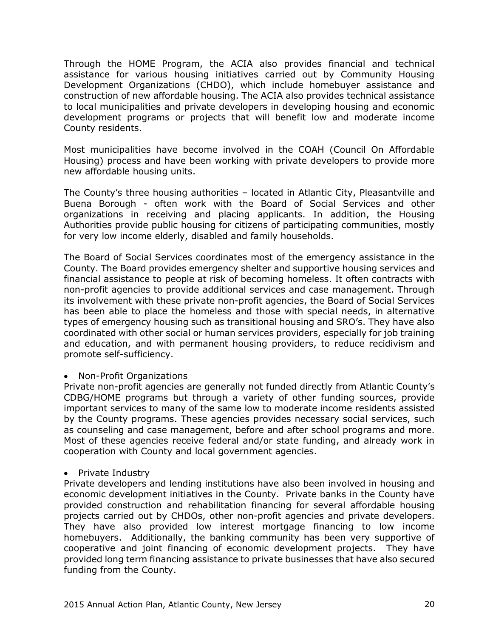Through the HOME Program, the ACIA also provides financial and technical assistance for various housing initiatives carried out by Community Housing Development Organizations (CHDO), which include homebuyer assistance and construction of new affordable housing. The ACIA also provides technical assistance to local municipalities and private developers in developing housing and economic development programs or projects that will benefit low and moderate income County residents.

Most municipalities have become involved in the COAH (Council On Affordable Housing) process and have been working with private developers to provide more new affordable housing units.

The County's three housing authorities – located in Atlantic City, Pleasantville and Buena Borough - often work with the Board of Social Services and other organizations in receiving and placing applicants. In addition, the Housing Authorities provide public housing for citizens of participating communities, mostly for very low income elderly, disabled and family households.

The Board of Social Services coordinates most of the emergency assistance in the County. The Board provides emergency shelter and supportive housing services and financial assistance to people at risk of becoming homeless. It often contracts with non-profit agencies to provide additional services and case management. Through its involvement with these private non-profit agencies, the Board of Social Services has been able to place the homeless and those with special needs, in alternative types of emergency housing such as transitional housing and SRO's. They have also coordinated with other social or human services providers, especially for job training and education, and with permanent housing providers, to reduce recidivism and promote self-sufficiency.

### • Non-Profit Organizations

Private non-profit agencies are generally not funded directly from Atlantic County's CDBG/HOME programs but through a variety of other funding sources, provide important services to many of the same low to moderate income residents assisted by the County programs. These agencies provides necessary social services, such as counseling and case management, before and after school programs and more. Most of these agencies receive federal and/or state funding, and already work in cooperation with County and local government agencies.

### • Private Industry

Private developers and lending institutions have also been involved in housing and economic development initiatives in the County. Private banks in the County have provided construction and rehabilitation financing for several affordable housing projects carried out by CHDOs, other non-profit agencies and private developers. They have also provided low interest mortgage financing to low income homebuyers. Additionally, the banking community has been very supportive of cooperative and joint financing of economic development projects. They have provided long term financing assistance to private businesses that have also secured funding from the County.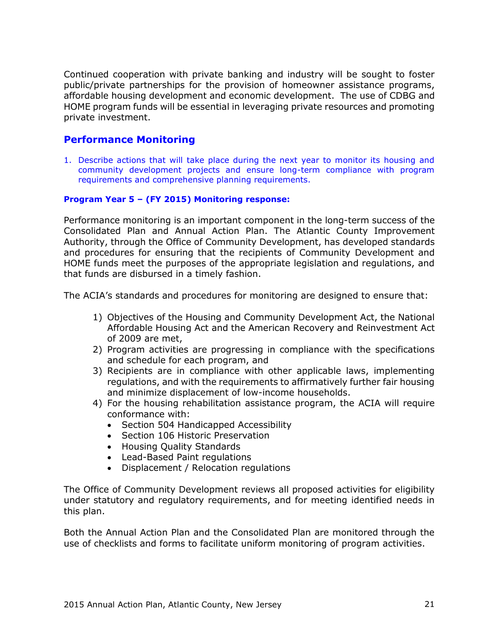Continued cooperation with private banking and industry will be sought to foster public/private partnerships for the provision of homeowner assistance programs, affordable housing development and economic development. The use of CDBG and HOME program funds will be essential in leveraging private resources and promoting private investment.

# **Performance Monitoring**

1. Describe actions that will take place during the next year to monitor its housing and community development projects and ensure long-term compliance with program requirements and comprehensive planning requirements.

### **Program Year 5 – (FY 2015) Monitoring response:**

Performance monitoring is an important component in the long-term success of the Consolidated Plan and Annual Action Plan. The Atlantic County Improvement Authority, through the Office of Community Development, has developed standards and procedures for ensuring that the recipients of Community Development and HOME funds meet the purposes of the appropriate legislation and regulations, and that funds are disbursed in a timely fashion.

The ACIA's standards and procedures for monitoring are designed to ensure that:

- 1) Objectives of the Housing and Community Development Act, the National Affordable Housing Act and the American Recovery and Reinvestment Act of 2009 are met,
- 2) Program activities are progressing in compliance with the specifications and schedule for each program, and
- 3) Recipients are in compliance with other applicable laws, implementing regulations, and with the requirements to affirmatively further fair housing and minimize displacement of low-income households.
- 4) For the housing rehabilitation assistance program, the ACIA will require conformance with:
	- Section 504 Handicapped Accessibility
	- Section 106 Historic Preservation
	- Housing Quality Standards
	- Lead-Based Paint regulations
	- Displacement / Relocation regulations

The Office of Community Development reviews all proposed activities for eligibility under statutory and regulatory requirements, and for meeting identified needs in this plan.

Both the Annual Action Plan and the Consolidated Plan are monitored through the use of checklists and forms to facilitate uniform monitoring of program activities.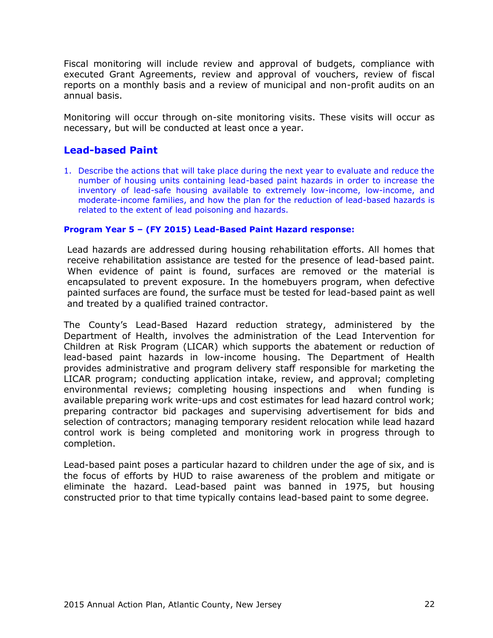Fiscal monitoring will include review and approval of budgets, compliance with executed Grant Agreements, review and approval of vouchers, review of fiscal reports on a monthly basis and a review of municipal and non-profit audits on an annual basis.

Monitoring will occur through on-site monitoring visits. These visits will occur as necessary, but will be conducted at least once a year.

# **Lead-based Paint**

1. Describe the actions that will take place during the next year to evaluate and reduce the number of housing units containing lead-based paint hazards in order to increase the inventory of lead-safe housing available to extremely low-income, low-income, and moderate-income families, and how the plan for the reduction of lead-based hazards is related to the extent of lead poisoning and hazards.

#### **Program Year 5 – (FY 2015) Lead-Based Paint Hazard response:**

Lead hazards are addressed during housing rehabilitation efforts. All homes that receive rehabilitation assistance are tested for the presence of lead-based paint. When evidence of paint is found, surfaces are removed or the material is encapsulated to prevent exposure. In the homebuyers program, when defective painted surfaces are found, the surface must be tested for lead-based paint as well and treated by a qualified trained contractor.

The County's Lead-Based Hazard reduction strategy, administered by the Department of Health, involves the administration of the Lead Intervention for Children at Risk Program (LICAR) which supports the abatement or reduction of lead-based paint hazards in low-income housing. The Department of Health provides administrative and program delivery staff responsible for marketing the LICAR program; conducting application intake, review, and approval; completing environmental reviews; completing housing inspections and when funding is available preparing work write-ups and cost estimates for lead hazard control work; preparing contractor bid packages and supervising advertisement for bids and selection of contractors; managing temporary resident relocation while lead hazard control work is being completed and monitoring work in progress through to completion.

Lead-based paint poses a particular hazard to children under the age of six, and is the focus of efforts by HUD to raise awareness of the problem and mitigate or eliminate the hazard. Lead-based paint was banned in 1975, but housing constructed prior to that time typically contains lead-based paint to some degree.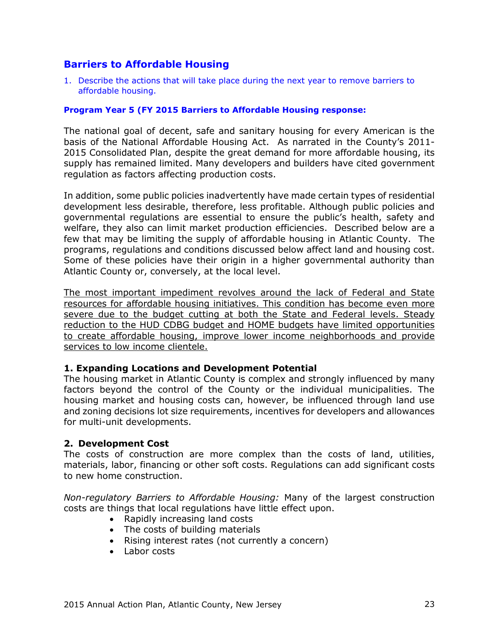# **Barriers to Affordable Housing**

1. Describe the actions that will take place during the next year to remove barriers to affordable housing.

### **Program Year 5 (FY 2015 Barriers to Affordable Housing response:**

The national goal of decent, safe and sanitary housing for every American is the basis of the National Affordable Housing Act. As narrated in the County's 2011- 2015 Consolidated Plan, despite the great demand for more affordable housing, its supply has remained limited. Many developers and builders have cited government regulation as factors affecting production costs.

In addition, some public policies inadvertently have made certain types of residential development less desirable, therefore, less profitable. Although public policies and governmental regulations are essential to ensure the public's health, safety and welfare, they also can limit market production efficiencies. Described below are a few that may be limiting the supply of affordable housing in Atlantic County. The programs, regulations and conditions discussed below affect land and housing cost. Some of these policies have their origin in a higher governmental authority than Atlantic County or, conversely, at the local level.

The most important impediment revolves around the lack of Federal and State resources for affordable housing initiatives. This condition has become even more severe due to the budget cutting at both the State and Federal levels. Steady reduction to the HUD CDBG budget and HOME budgets have limited opportunities to create affordable housing, improve lower income neighborhoods and provide services to low income clientele.

### **1. Expanding Locations and Development Potential**

The housing market in Atlantic County is complex and strongly influenced by many factors beyond the control of the County or the individual municipalities. The housing market and housing costs can, however, be influenced through land use and zoning decisions lot size requirements, incentives for developers and allowances for multi-unit developments.

# **2. Development Cost**

The costs of construction are more complex than the costs of land, utilities, materials, labor, financing or other soft costs. Regulations can add significant costs to new home construction.

*Non-regulatory Barriers to Affordable Housing:* Many of the largest construction costs are things that local regulations have little effect upon.

- Rapidly increasing land costs
- The costs of building materials
- Rising interest rates (not currently a concern)
- Labor costs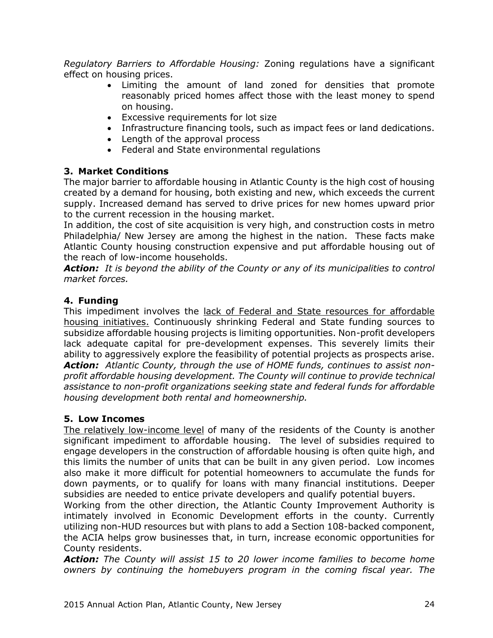*Regulatory Barriers to Affordable Housing:* Zoning regulations have a significant effect on housing prices.

- Limiting the amount of land zoned for densities that promote reasonably priced homes affect those with the least money to spend on housing.
- Excessive requirements for lot size
- Infrastructure financing tools, such as impact fees or land dedications.
- Length of the approval process
- Federal and State environmental regulations

# **3. Market Conditions**

The major barrier to affordable housing in Atlantic County is the high cost of housing created by a demand for housing, both existing and new, which exceeds the current supply. Increased demand has served to drive prices for new homes upward prior to the current recession in the housing market.

In addition, the cost of site acquisition is very high, and construction costs in metro Philadelphia/ New Jersey are among the highest in the nation. These facts make Atlantic County housing construction expensive and put affordable housing out of the reach of low-income households.

*Action: It is beyond the ability of the County or any of its municipalities to control market forces.*

# **4. Funding**

This impediment involves the lack of Federal and State resources for affordable housing initiatives. Continuously shrinking Federal and State funding sources to subsidize affordable housing projects is limiting opportunities. Non-profit developers lack adequate capital for pre-development expenses. This severely limits their ability to aggressively explore the feasibility of potential projects as prospects arise. *Action: Atlantic County, through the use of HOME funds, continues to assist nonprofit affordable housing development. The County will continue to provide technical assistance to non-profit organizations seeking state and federal funds for affordable housing development both rental and homeownership.*

# **5. Low Incomes**

The relatively low-income level of many of the residents of the County is another significant impediment to affordable housing. The level of subsidies required to engage developers in the construction of affordable housing is often quite high, and this limits the number of units that can be built in any given period. Low incomes also make it more difficult for potential homeowners to accumulate the funds for down payments, or to qualify for loans with many financial institutions. Deeper subsidies are needed to entice private developers and qualify potential buyers.

Working from the other direction, the Atlantic County Improvement Authority is intimately involved in Economic Development efforts in the county. Currently utilizing non-HUD resources but with plans to add a Section 108-backed component, the ACIA helps grow businesses that, in turn, increase economic opportunities for County residents.

*Action: The County will assist 15 to 20 lower income families to become home owners by continuing the homebuyers program in the coming fiscal year. The*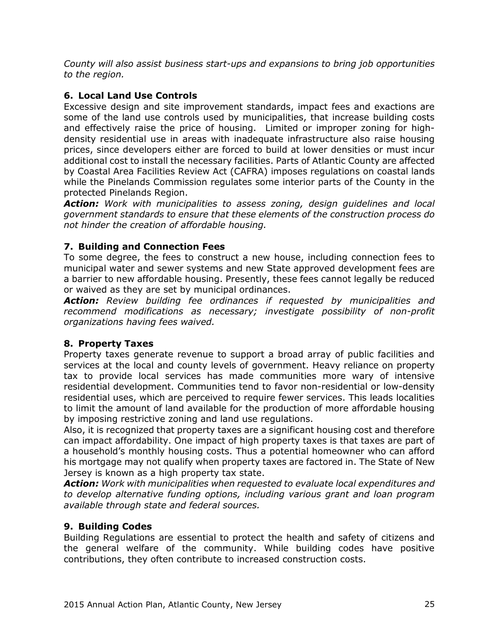*County will also assist business start-ups and expansions to bring job opportunities to the region.*

# **6. Local Land Use Controls**

Excessive design and site improvement standards, impact fees and exactions are some of the land use controls used by municipalities, that increase building costs and effectively raise the price of housing. Limited or improper zoning for highdensity residential use in areas with inadequate infrastructure also raise housing prices, since developers either are forced to build at lower densities or must incur additional cost to install the necessary facilities. Parts of Atlantic County are affected by Coastal Area Facilities Review Act (CAFRA) imposes regulations on coastal lands while the Pinelands Commission regulates some interior parts of the County in the protected Pinelands Region.

*Action: Work with municipalities to assess zoning, design guidelines and local government standards to ensure that these elements of the construction process do not hinder the creation of affordable housing.*

# **7. Building and Connection Fees**

To some degree, the fees to construct a new house, including connection fees to municipal water and sewer systems and new State approved development fees are a barrier to new affordable housing. Presently, these fees cannot legally be reduced or waived as they are set by municipal ordinances.

*Action: Review building fee ordinances if requested by municipalities and recommend modifications as necessary; investigate possibility of non-profit organizations having fees waived.*

# **8. Property Taxes**

Property taxes generate revenue to support a broad array of public facilities and services at the local and county levels of government. Heavy reliance on property tax to provide local services has made communities more wary of intensive residential development. Communities tend to favor non-residential or low-density residential uses, which are perceived to require fewer services. This leads localities to limit the amount of land available for the production of more affordable housing by imposing restrictive zoning and land use regulations.

Also, it is recognized that property taxes are a significant housing cost and therefore can impact affordability. One impact of high property taxes is that taxes are part of a household's monthly housing costs. Thus a potential homeowner who can afford his mortgage may not qualify when property taxes are factored in. The State of New Jersey is known as a high property tax state.

*Action: Work with municipalities when requested to evaluate local expenditures and to develop alternative funding options, including various grant and loan program available through state and federal sources.*

# **9. Building Codes**

Building Regulations are essential to protect the health and safety of citizens and the general welfare of the community. While building codes have positive contributions, they often contribute to increased construction costs.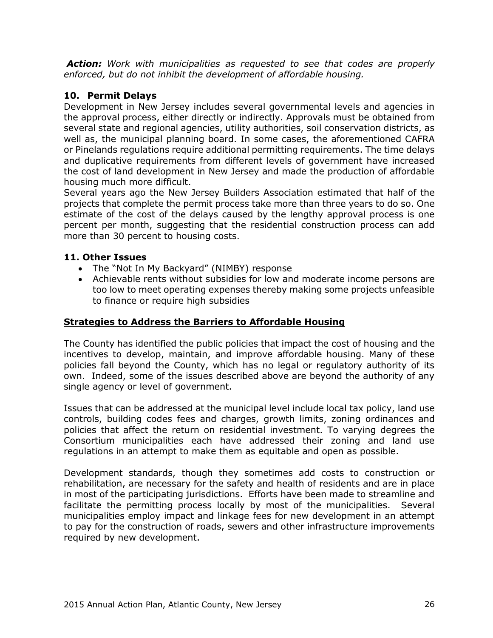*Action: Work with municipalities as requested to see that codes are properly enforced, but do not inhibit the development of affordable housing.*

# **10. Permit Delays**

Development in New Jersey includes several governmental levels and agencies in the approval process, either directly or indirectly. Approvals must be obtained from several state and regional agencies, utility authorities, soil conservation districts, as well as, the municipal planning board. In some cases, the aforementioned CAFRA or Pinelands regulations require additional permitting requirements. The time delays and duplicative requirements from different levels of government have increased the cost of land development in New Jersey and made the production of affordable housing much more difficult.

Several years ago the New Jersey Builders Association estimated that half of the projects that complete the permit process take more than three years to do so. One estimate of the cost of the delays caused by the lengthy approval process is one percent per month, suggesting that the residential construction process can add more than 30 percent to housing costs.

# **11. Other Issues**

- The "Not In My Backyard" (NIMBY) response
- Achievable rents without subsidies for low and moderate income persons are too low to meet operating expenses thereby making some projects unfeasible to finance or require high subsidies

# **Strategies to Address the Barriers to Affordable Housing**

The County has identified the public policies that impact the cost of housing and the incentives to develop, maintain, and improve affordable housing. Many of these policies fall beyond the County, which has no legal or regulatory authority of its own. Indeed, some of the issues described above are beyond the authority of any single agency or level of government.

Issues that can be addressed at the municipal level include local tax policy, land use controls, building codes fees and charges, growth limits, zoning ordinances and policies that affect the return on residential investment. To varying degrees the Consortium municipalities each have addressed their zoning and land use regulations in an attempt to make them as equitable and open as possible.

Development standards, though they sometimes add costs to construction or rehabilitation, are necessary for the safety and health of residents and are in place in most of the participating jurisdictions. Efforts have been made to streamline and facilitate the permitting process locally by most of the municipalities. Several municipalities employ impact and linkage fees for new development in an attempt to pay for the construction of roads, sewers and other infrastructure improvements required by new development.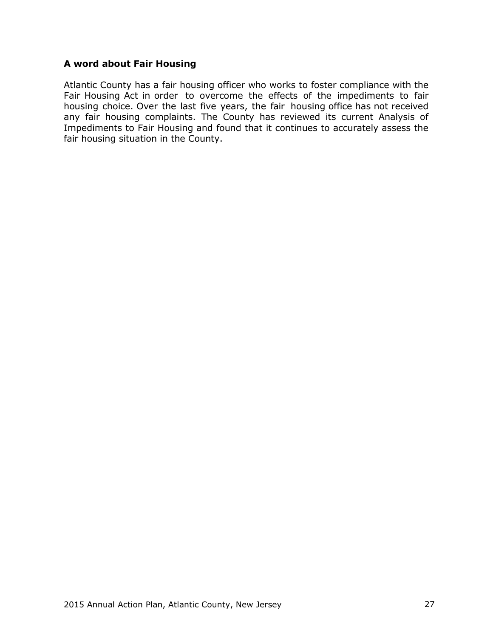### **A word about Fair Housing**

Atlantic County has a fair housing officer who works to foster compliance with the Fair Housing Act in order to overcome the effects of the impediments to fair housing choice. Over the last five years, the fair housing office has not received any fair housing complaints. The County has reviewed its current Analysis of Impediments to Fair Housing and found that it continues to accurately assess the fair housing situation in the County.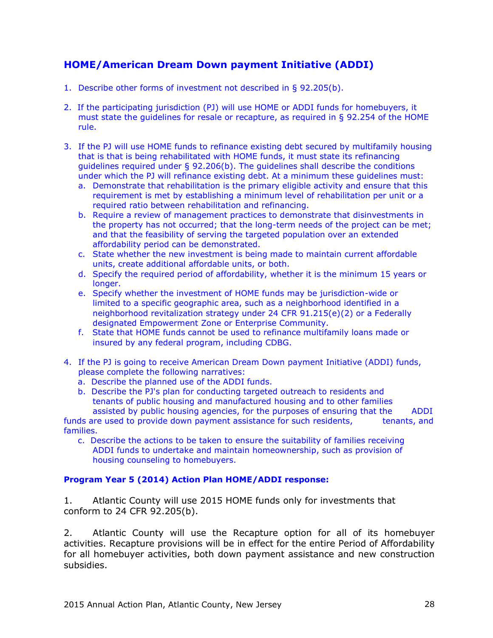# **HOME/American Dream Down payment Initiative (ADDI)**

- 1. Describe other forms of investment not described in § 92.205(b).
- 2. If the participating jurisdiction (PJ) will use HOME or ADDI funds for homebuyers, it must state the guidelines for resale or recapture, as required in § 92.254 of the HOME rule.
- 3. If the PJ will use HOME funds to refinance existing debt secured by multifamily housing that is that is being rehabilitated with HOME funds, it must state its refinancing guidelines required under  $\S$  92.206(b). The guidelines shall describe the conditions under which the PJ will refinance existing debt. At a minimum these guidelines must:
	- a. Demonstrate that rehabilitation is the primary eligible activity and ensure that this requirement is met by establishing a minimum level of rehabilitation per unit or a required ratio between rehabilitation and refinancing.
	- b. Require a review of management practices to demonstrate that disinvestments in the property has not occurred; that the long-term needs of the project can be met; and that the feasibility of serving the targeted population over an extended affordability period can be demonstrated.
	- c. State whether the new investment is being made to maintain current affordable units, create additional affordable units, or both.
	- d. Specify the required period of affordability, whether it is the minimum 15 years or longer.
	- e. Specify whether the investment of HOME funds may be jurisdiction-wide or limited to a specific geographic area, such as a neighborhood identified in a neighborhood revitalization strategy under 24 CFR 91.215(e)(2) or a Federally designated Empowerment Zone or Enterprise Community.
	- f. State that HOME funds cannot be used to refinance multifamily loans made or insured by any federal program, including CDBG.
- 4. If the PJ is going to receive American Dream Down payment Initiative (ADDI) funds, please complete the following narratives:
	- a. Describe the planned use of the ADDI funds.
	- b. Describe the PJ's plan for conducting targeted outreach to residents and tenants of public housing and manufactured housing and to other families

assisted by public housing agencies, for the purposes of ensuring that the ADDI funds are used to provide down payment assistance for such residents, tenants, and families.

 c. Describe the actions to be taken to ensure the suitability of families receiving ADDI funds to undertake and maintain homeownership, such as provision of housing counseling to homebuyers.

### **Program Year 5 (2014) Action Plan HOME/ADDI response:**

1. Atlantic County will use 2015 HOME funds only for investments that conform to 24 CFR 92.205(b).

2. Atlantic County will use the Recapture option for all of its homebuyer activities. Recapture provisions will be in effect for the entire Period of Affordability for all homebuyer activities, both down payment assistance and new construction subsidies.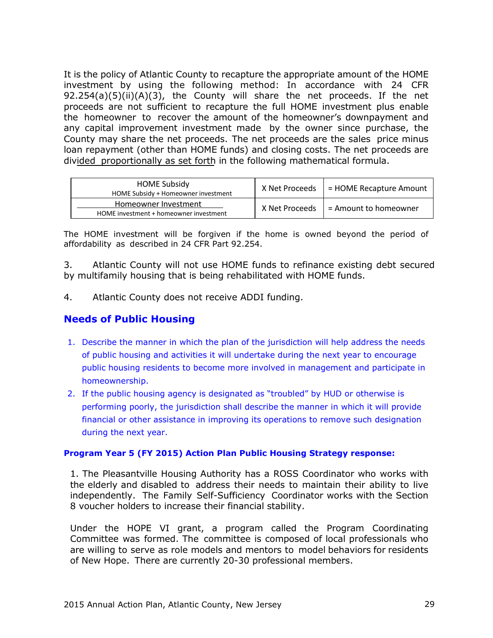It is the policy of Atlantic County to recapture the appropriate amount of the HOME investment by using the following method: In accordance with 24 CFR 92.254(a)(5)(ii)(A)(3), the County will share the net proceeds. If the net proceeds are not sufficient to recapture the full HOME investment plus enable the homeowner to recover the amount of the homeowner's downpayment and any capital improvement investment made by the owner since purchase, the County may share the net proceeds. The net proceeds are the sales price minus loan repayment (other than HOME funds) and closing costs. The net proceeds are divided proportionally as set forth in the following mathematical formula.

| <b>HOME Subsidy</b><br>HOME Subsidy + Homeowner investment     | X Net Proceeds | $=$ HOME Recapture Amount |
|----------------------------------------------------------------|----------------|---------------------------|
| Homeowner Investment<br>HOME investment + homeowner investment | X Net Proceeds | L = Amount to homeowner   |

The HOME investment will be forgiven if the home is owned beyond the period of affordability as described in 24 CFR Part 92.254.

3. Atlantic County will not use HOME funds to refinance existing debt secured by multifamily housing that is being rehabilitated with HOME funds.

4. Atlantic County does not receive ADDI funding.

# **Needs of Public Housing**

- 1. Describe the manner in which the plan of the jurisdiction will help address the needs of public housing and activities it will undertake during the next year to encourage public housing residents to become more involved in management and participate in homeownership.
- 2. If the public housing agency is designated as "troubled" by HUD or otherwise is performing poorly, the jurisdiction shall describe the manner in which it will provide financial or other assistance in improving its operations to remove such designation during the next year.

#### **Program Year 5 (FY 2015) Action Plan Public Housing Strategy response:**

1. The Pleasantville Housing Authority has a ROSS Coordinator who works with the elderly and disabled to address their needs to maintain their ability to live independently. The Family Self-Sufficiency Coordinator works with the Section 8 voucher holders to increase their financial stability.

Under the HOPE VI grant, a program called the Program Coordinating Committee was formed. The committee is composed of local professionals who are willing to serve as role models and mentors to model behaviors for residents of New Hope. There are currently 20-30 professional members.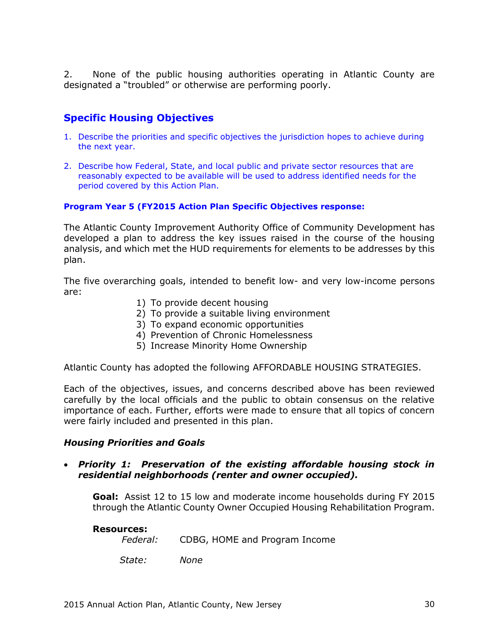2. None of the public housing authorities operating in Atlantic County are designated a "troubled" or otherwise are performing poorly.

# **Specific Housing Objectives**

- 1. Describe the priorities and specific objectives the jurisdiction hopes to achieve during the next year.
- 2. Describe how Federal, State, and local public and private sector resources that are reasonably expected to be available will be used to address identified needs for the period covered by this Action Plan.

### **Program Year 5 (FY2015 Action Plan Specific Objectives response:**

The Atlantic County Improvement Authority Office of Community Development has developed a plan to address the key issues raised in the course of the housing analysis, and which met the HUD requirements for elements to be addresses by this plan.

The five overarching goals, intended to benefit low- and very low-income persons are:

- 1) To provide decent housing
- 2) To provide a suitable living environment
- 3) To expand economic opportunities
- 4) Prevention of Chronic Homelessness
- 5) Increase Minority Home Ownership

Atlantic County has adopted the following AFFORDABLE HOUSING STRATEGIES.

Each of the objectives, issues, and concerns described above has been reviewed carefully by the local officials and the public to obtain consensus on the relative importance of each. Further, efforts were made to ensure that all topics of concern were fairly included and presented in this plan.

### *Housing Priorities and Goals*

### *Priority 1: Preservation of the existing affordable housing stock in residential neighborhoods (renter and owner occupied).*

**Goal:** Assist 12 to 15 low and moderate income households during FY 2015 through the Atlantic County Owner Occupied Housing Rehabilitation Program.

#### **Resources:**

*Federal:* CDBG, HOME and Program Income

 *State: None*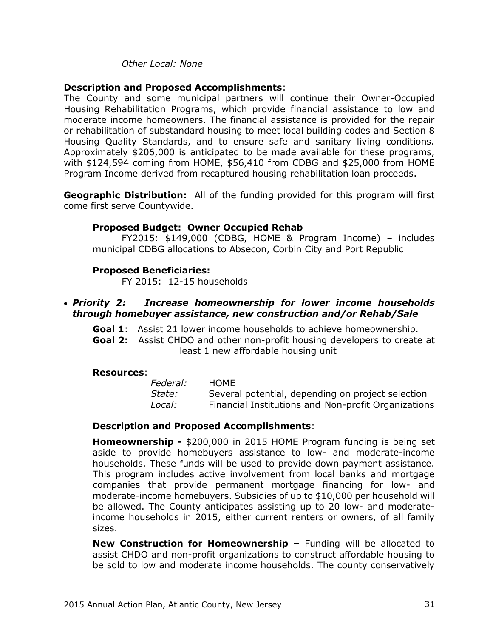### *Other Local: None*

### **Description and Proposed Accomplishments**:

The County and some municipal partners will continue their Owner-Occupied Housing Rehabilitation Programs, which provide financial assistance to low and moderate income homeowners. The financial assistance is provided for the repair or rehabilitation of substandard housing to meet local building codes and Section 8 Housing Quality Standards, and to ensure safe and sanitary living conditions. Approximately \$206,000 is anticipated to be made available for these programs, with \$124,594 coming from HOME, \$56,410 from CDBG and \$25,000 from HOME Program Income derived from recaptured housing rehabilitation loan proceeds.

**Geographic Distribution:** All of the funding provided for this program will first come first serve Countywide.

#### **Proposed Budget: Owner Occupied Rehab**

FY2015: \$149,000 (CDBG, HOME & Program Income) – includes municipal CDBG allocations to Absecon, Corbin City and Port Republic

#### **Proposed Beneficiaries:**

FY 2015: 12-15 households

### *Priority 2: Increase homeownership for lower income households through homebuyer assistance, new construction and/or Rehab/Sale*

**Goal 1**: Assist 21 lower income households to achieve homeownership.

**Goal 2:** Assist CHDO and other non-profit housing developers to create at least 1 new affordable housing unit

#### **Resources**:

| Federal: | HOME                                                |
|----------|-----------------------------------------------------|
| State:   | Several potential, depending on project selection   |
| Local:   | Financial Institutions and Non-profit Organizations |

#### **Description and Proposed Accomplishments**:

**Homeownership -** \$200,000 in 2015 HOME Program funding is being set aside to provide homebuyers assistance to low- and moderate-income households. These funds will be used to provide down payment assistance. This program includes active involvement from local banks and mortgage companies that provide permanent mortgage financing for low- and moderate-income homebuyers. Subsidies of up to \$10,000 per household will be allowed. The County anticipates assisting up to 20 low- and moderateincome households in 2015, either current renters or owners, of all family sizes.

**New Construction for Homeownership –** Funding will be allocated to assist CHDO and non-profit organizations to construct affordable housing to be sold to low and moderate income households. The county conservatively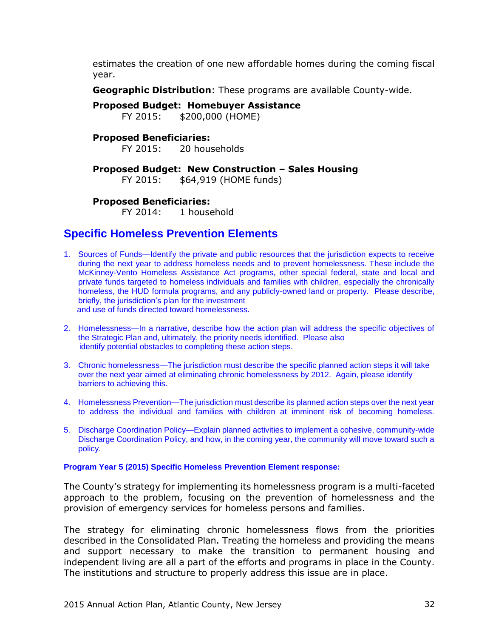estimates the creation of one new affordable homes during the coming fiscal year.

**Geographic Distribution**: These programs are available County-wide.

**Proposed Budget: Homebuyer Assistance**

FY 2015: \$200,000 (HOME)

# **Proposed Beneficiaries:**

FY 2015: 20 households

# **Proposed Budget: New Construction – Sales Housing**

FY 2015: \$64,919 (HOME funds)

### **Proposed Beneficiaries:**

FY 2014: 1 household

# **Specific Homeless Prevention Elements**

- 1. Sources of Funds—Identify the private and public resources that the jurisdiction expects to receive during the next year to address homeless needs and to prevent homelessness. These include the McKinney-Vento Homeless Assistance Act programs, other special federal, state and local and private funds targeted to homeless individuals and families with children, especially the chronically homeless, the HUD formula programs, and any publicly-owned land or property. Please describe, briefly, the jurisdiction's plan for the investment and use of funds directed toward homelessness.
- 2. Homelessness—In a narrative, describe how the action plan will address the specific objectives of the Strategic Plan and, ultimately, the priority needs identified. Please also identify potential obstacles to completing these action steps.
- 3. Chronic homelessness—The jurisdiction must describe the specific planned action steps it will take over the next year aimed at eliminating chronic homelessness by 2012. Again, please identify barriers to achieving this.
- 4. Homelessness Prevention—The jurisdiction must describe its planned action steps over the next year to address the individual and families with children at imminent risk of becoming homeless.
- 5. Discharge Coordination Policy—Explain planned activities to implement a cohesive, community-wide Discharge Coordination Policy, and how, in the coming year, the community will move toward such a policy.

#### **Program Year 5 (2015) Specific Homeless Prevention Element response:**

The County's strategy for implementing its homelessness program is a multi-faceted approach to the problem, focusing on the prevention of homelessness and the provision of emergency services for homeless persons and families.

The strategy for eliminating chronic homelessness flows from the priorities described in the Consolidated Plan. Treating the homeless and providing the means and support necessary to make the transition to permanent housing and independent living are all a part of the efforts and programs in place in the County. The institutions and structure to properly address this issue are in place.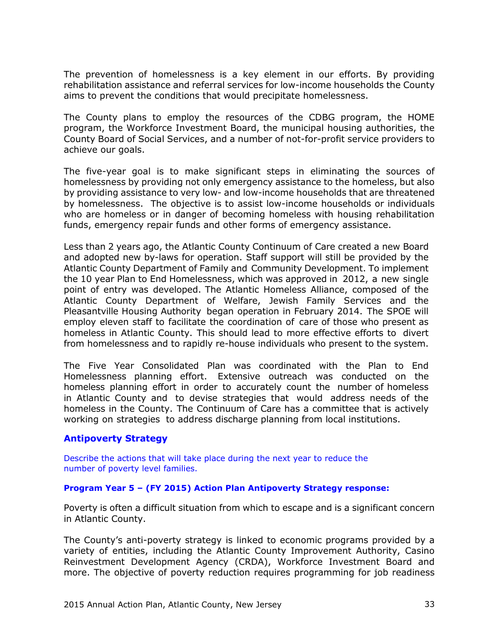The prevention of homelessness is a key element in our efforts. By providing rehabilitation assistance and referral services for low-income households the County aims to prevent the conditions that would precipitate homelessness.

The County plans to employ the resources of the CDBG program, the HOME program, the Workforce Investment Board, the municipal housing authorities, the County Board of Social Services, and a number of not-for-profit service providers to achieve our goals.

The five-year goal is to make significant steps in eliminating the sources of homelessness by providing not only emergency assistance to the homeless, but also by providing assistance to very low- and low-income households that are threatened by homelessness. The objective is to assist low-income households or individuals who are homeless or in danger of becoming homeless with housing rehabilitation funds, emergency repair funds and other forms of emergency assistance.

Less than 2 years ago, the Atlantic County Continuum of Care created a new Board and adopted new by-laws for operation. Staff support will still be provided by the Atlantic County Department of Family and Community Development. To implement the 10 year Plan to End Homelessness, which was approved in 2012, a new single point of entry was developed. The Atlantic Homeless Alliance, composed of the Atlantic County Department of Welfare, Jewish Family Services and the Pleasantville Housing Authority began operation in February 2014. The SPOE will employ eleven staff to facilitate the coordination of care of those who present as homeless in Atlantic County. This should lead to more effective efforts to divert from homelessness and to rapidly re-house individuals who present to the system.

The Five Year Consolidated Plan was coordinated with the Plan to End Homelessness planning effort. Extensive outreach was conducted on the homeless planning effort in order to accurately count the number of homeless in Atlantic County and to devise strategies that would address needs of the homeless in the County. The Continuum of Care has a committee that is actively working on strategies to address discharge planning from local institutions.

# **Antipoverty Strategy**

Describe the actions that will take place during the next year to reduce the number of poverty level families.

### **Program Year 5 – (FY 2015) Action Plan Antipoverty Strategy response:**

Poverty is often a difficult situation from which to escape and is a significant concern in Atlantic County.

The County's anti-poverty strategy is linked to economic programs provided by a variety of entities, including the Atlantic County Improvement Authority, Casino Reinvestment Development Agency (CRDA), Workforce Investment Board and more. The objective of poverty reduction requires programming for job readiness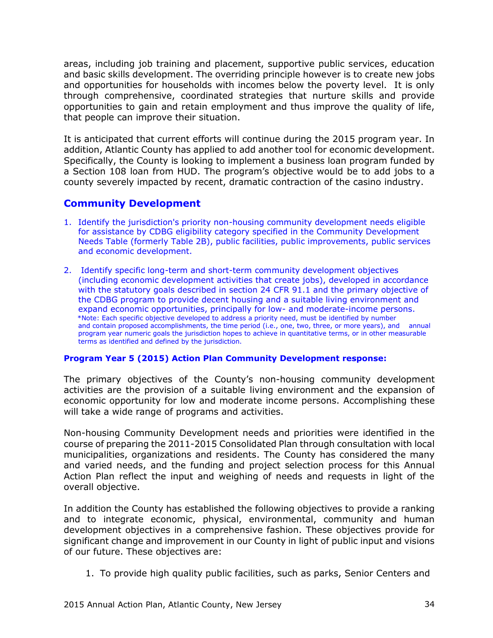areas, including job training and placement, supportive public services, education and basic skills development. The overriding principle however is to create new jobs and opportunities for households with incomes below the poverty level. It is only through comprehensive, coordinated strategies that nurture skills and provide opportunities to gain and retain employment and thus improve the quality of life, that people can improve their situation.

It is anticipated that current efforts will continue during the 2015 program year. In addition, Atlantic County has applied to add another tool for economic development. Specifically, the County is looking to implement a business loan program funded by a Section 108 loan from HUD. The program's objective would be to add jobs to a county severely impacted by recent, dramatic contraction of the casino industry.

# **Community Development**

- 1. Identify the jurisdiction's priority non-housing community development needs eligible for assistance by CDBG eligibility category specified in the Community Development Needs Table (formerly Table 2B), public facilities, public improvements, public services and economic development.
- 2. Identify specific long-term and short-term community development objectives (including economic development activities that create jobs), developed in accordance with the statutory goals described in section 24 CFR 91.1 and the primary objective of the CDBG program to provide decent housing and a suitable living environment and expand economic opportunities, principally for low- and moderate-income persons. \*Note: Each specific objective developed to address a priority need, must be identified by number and contain proposed accomplishments, the time period (i.e., one, two, three, or more years), and annual program year numeric goals the jurisdiction hopes to achieve in quantitative terms, or in other measurable terms as identified and defined by the jurisdiction.

### **Program Year 5 (2015) Action Plan Community Development response:**

The primary objectives of the County's non-housing community development activities are the provision of a suitable living environment and the expansion of economic opportunity for low and moderate income persons. Accomplishing these will take a wide range of programs and activities.

Non-housing Community Development needs and priorities were identified in the course of preparing the 2011-2015 Consolidated Plan through consultation with local municipalities, organizations and residents. The County has considered the many and varied needs, and the funding and project selection process for this Annual Action Plan reflect the input and weighing of needs and requests in light of the overall objective.

In addition the County has established the following objectives to provide a ranking and to integrate economic, physical, environmental, community and human development objectives in a comprehensive fashion. These objectives provide for significant change and improvement in our County in light of public input and visions of our future. These objectives are:

1. To provide high quality public facilities, such as parks, Senior Centers and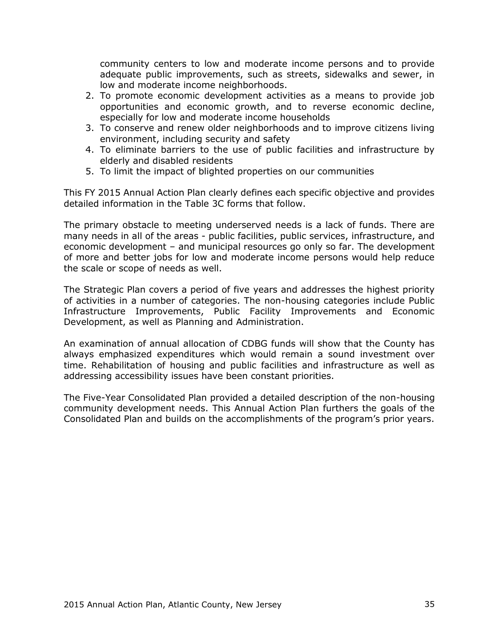community centers to low and moderate income persons and to provide adequate public improvements, such as streets, sidewalks and sewer, in low and moderate income neighborhoods.

- 2. To promote economic development activities as a means to provide job opportunities and economic growth, and to reverse economic decline, especially for low and moderate income households
- 3. To conserve and renew older neighborhoods and to improve citizens living environment, including security and safety
- 4. To eliminate barriers to the use of public facilities and infrastructure by elderly and disabled residents
- 5. To limit the impact of blighted properties on our communities

This FY 2015 Annual Action Plan clearly defines each specific objective and provides detailed information in the Table 3C forms that follow.

The primary obstacle to meeting underserved needs is a lack of funds. There are many needs in all of the areas - public facilities, public services, infrastructure, and economic development – and municipal resources go only so far. The development of more and better jobs for low and moderate income persons would help reduce the scale or scope of needs as well.

The Strategic Plan covers a period of five years and addresses the highest priority of activities in a number of categories. The non-housing categories include Public Infrastructure Improvements, Public Facility Improvements and Economic Development, as well as Planning and Administration.

An examination of annual allocation of CDBG funds will show that the County has always emphasized expenditures which would remain a sound investment over time. Rehabilitation of housing and public facilities and infrastructure as well as addressing accessibility issues have been constant priorities.

The Five-Year Consolidated Plan provided a detailed description of the non-housing community development needs. This Annual Action Plan furthers the goals of the Consolidated Plan and builds on the accomplishments of the program's prior years.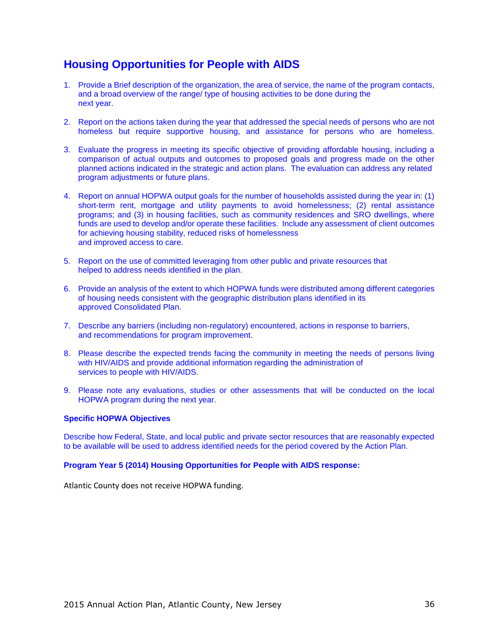# **Housing Opportunities for People with AIDS**

- 1. Provide a Brief description of the organization, the area of service, the name of the program contacts, and a broad overview of the range/ type of housing activities to be done during the next year.
- 2. Report on the actions taken during the year that addressed the special needs of persons who are not homeless but require supportive housing, and assistance for persons who are homeless.
- 3. Evaluate the progress in meeting its specific objective of providing affordable housing, including a comparison of actual outputs and outcomes to proposed goals and progress made on the other planned actions indicated in the strategic and action plans. The evaluation can address any related program adjustments or future plans.
- 4. Report on annual HOPWA output goals for the number of households assisted during the year in: (1) short-term rent, mortgage and utility payments to avoid homelessness; (2) rental assistance programs; and (3) in housing facilities, such as community residences and SRO dwellings, where funds are used to develop and/or operate these facilities. Include any assessment of client outcomes for achieving housing stability, reduced risks of homelessness and improved access to care.
- 5. Report on the use of committed leveraging from other public and private resources that helped to address needs identified in the plan.
- 6. Provide an analysis of the extent to which HOPWA funds were distributed among different categories of housing needs consistent with the geographic distribution plans identified in its approved Consolidated Plan.
- 7. Describe any barriers (including non-regulatory) encountered, actions in response to barriers, and recommendations for program improvement.
- 8. Please describe the expected trends facing the community in meeting the needs of persons living with HIV/AIDS and provide additional information regarding the administration of services to people with HIV/AIDS.
- 9. Please note any evaluations, studies or other assessments that will be conducted on the local HOPWA program during the next year.

#### **Specific HOPWA Objectives**

Describe how Federal, State, and local public and private sector resources that are reasonably expected to be available will be used to address identified needs for the period covered by the Action Plan.

#### **Program Year 5 (2014) Housing Opportunities for People with AIDS response:**

Atlantic County does not receive HOPWA funding.